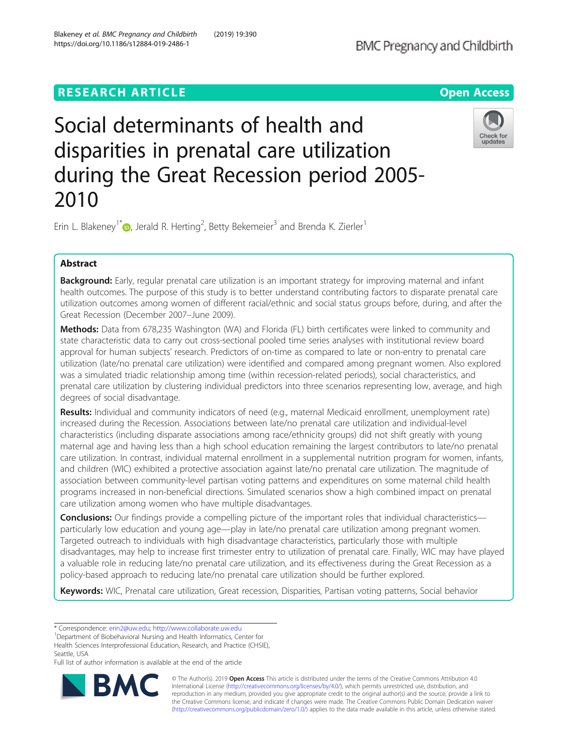### **RESEARCH ARTICLE Example 2014 CONSIDERING A RESEARCH ARTICLE**



# Social determinants of health and disparities in prenatal care utilization during the Great Recession period 2005- 2010



Erin L. Blakeney<sup>1[\\*](http://orcid.org/0000-0002-4902-181X)</sup> <sub>(D</sub>, Jerald R. Herting<sup>2</sup>, Betty Bekemeier<sup>3</sup> and Brenda K. Zierler<sup>1</sup>

### Abstract

Background: Early, regular prenatal care utilization is an important strategy for improving maternal and infant health outcomes. The purpose of this study is to better understand contributing factors to disparate prenatal care utilization outcomes among women of different racial/ethnic and social status groups before, during, and after the Great Recession (December 2007–June 2009).

Methods: Data from 678,235 Washington (WA) and Florida (FL) birth certificates were linked to community and state characteristic data to carry out cross-sectional pooled time series analyses with institutional review board approval for human subjects' research. Predictors of on-time as compared to late or non-entry to prenatal care utilization (late/no prenatal care utilization) were identified and compared among pregnant women. Also explored was a simulated triadic relationship among time (within recession-related periods), social characteristics, and prenatal care utilization by clustering individual predictors into three scenarios representing low, average, and high degrees of social disadvantage.

Results: Individual and community indicators of need (e.g., maternal Medicaid enrollment, unemployment rate) increased during the Recession. Associations between late/no prenatal care utilization and individual-level characteristics (including disparate associations among race/ethnicity groups) did not shift greatly with young maternal age and having less than a high school education remaining the largest contributors to late/no prenatal care utilization. In contrast, individual maternal enrollment in a supplemental nutrition program for women, infants, and children (WIC) exhibited a protective association against late/no prenatal care utilization. The magnitude of association between community-level partisan voting patterns and expenditures on some maternal child health programs increased in non-beneficial directions. Simulated scenarios show a high combined impact on prenatal care utilization among women who have multiple disadvantages.

Conclusions: Our findings provide a compelling picture of the important roles that individual characteristics particularly low education and young age—play in late/no prenatal care utilization among pregnant women. Targeted outreach to individuals with high disadvantage characteristics, particularly those with multiple disadvantages, may help to increase first trimester entry to utilization of prenatal care. Finally, WIC may have played a valuable role in reducing late/no prenatal care utilization, and its effectiveness during the Great Recession as a policy-based approach to reducing late/no prenatal care utilization should be further explored.

Keywords: WIC, Prenatal care utilization, Great recession, Disparities, Partisan voting patterns, Social behavior

\* Correspondence: [erin2@uw.edu;](mailto:erin2@uw.edu) <http://www.collaborate.uw.edu>

<sup>1</sup>Department of Biobehavioral Nursing and Health Informatics, Center for

Health Sciences Interprofessional Education, Research, and Practice (CHSIE), Seattle, USA

Full list of author information is available at the end of the article



© The Author(s). 2019 Open Access This article is distributed under the terms of the Creative Commons Attribution 4.0 International License [\(http://creativecommons.org/licenses/by/4.0/](http://creativecommons.org/licenses/by/4.0/)), which permits unrestricted use, distribution, and reproduction in any medium, provided you give appropriate credit to the original author(s) and the source, provide a link to the Creative Commons license, and indicate if changes were made. The Creative Commons Public Domain Dedication waiver [\(http://creativecommons.org/publicdomain/zero/1.0/](http://creativecommons.org/publicdomain/zero/1.0/)) applies to the data made available in this article, unless otherwise stated.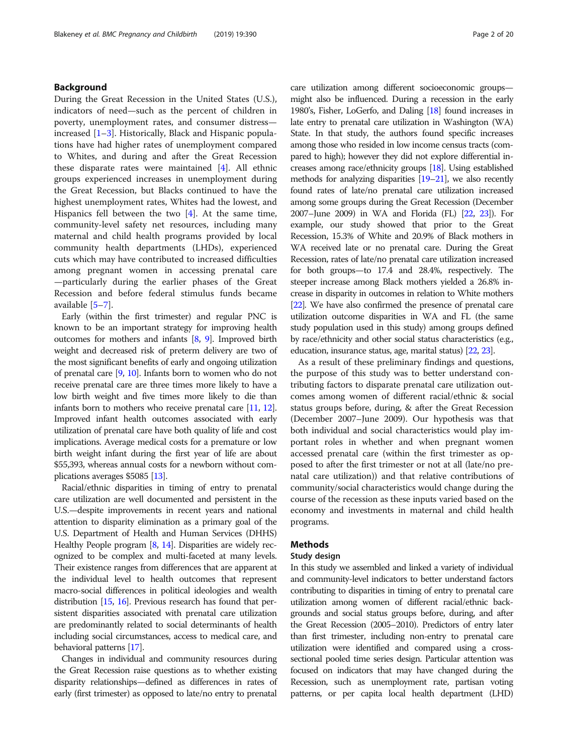### Background

During the Great Recession in the United States (U.S.), indicators of need—such as the percent of children in poverty, unemployment rates, and consumer distress increased [\[1](#page-18-0)–[3\]](#page-18-0). Historically, Black and Hispanic populations have had higher rates of unemployment compared to Whites, and during and after the Great Recession these disparate rates were maintained [\[4](#page-18-0)]. All ethnic groups experienced increases in unemployment during the Great Recession, but Blacks continued to have the highest unemployment rates, Whites had the lowest, and Hispanics fell between the two [\[4](#page-18-0)]. At the same time, community-level safety net resources, including many maternal and child health programs provided by local community health departments (LHDs), experienced cuts which may have contributed to increased difficulties among pregnant women in accessing prenatal care —particularly during the earlier phases of the Great Recession and before federal stimulus funds became available [[5](#page-18-0)–[7](#page-18-0)].

Early (within the first trimester) and regular PNC is known to be an important strategy for improving health outcomes for mothers and infants [\[8,](#page-18-0) [9\]](#page-18-0). Improved birth weight and decreased risk of preterm delivery are two of the most significant benefits of early and ongoing utilization of prenatal care [[9,](#page-18-0) [10\]](#page-18-0). Infants born to women who do not receive prenatal care are three times more likely to have a low birth weight and five times more likely to die than infants born to mothers who receive prenatal care [\[11,](#page-18-0) [12](#page-18-0)]. Improved infant health outcomes associated with early utilization of prenatal care have both quality of life and cost implications. Average medical costs for a premature or low birth weight infant during the first year of life are about \$55,393, whereas annual costs for a newborn without complications averages \$5085 [\[13\]](#page-19-0).

Racial/ethnic disparities in timing of entry to prenatal care utilization are well documented and persistent in the U.S.—despite improvements in recent years and national attention to disparity elimination as a primary goal of the U.S. Department of Health and Human Services (DHHS) Healthy People program [[8](#page-18-0), [14](#page-19-0)]. Disparities are widely recognized to be complex and multi-faceted at many levels. Their existence ranges from differences that are apparent at the individual level to health outcomes that represent macro-social differences in political ideologies and wealth distribution [\[15,](#page-19-0) [16](#page-19-0)]. Previous research has found that persistent disparities associated with prenatal care utilization are predominantly related to social determinants of health including social circumstances, access to medical care, and behavioral patterns [\[17](#page-19-0)].

Changes in individual and community resources during the Great Recession raise questions as to whether existing disparity relationships—defined as differences in rates of early (first trimester) as opposed to late/no entry to prenatal

care utilization among different socioeconomic groups might also be influenced. During a recession in the early 1980's, Fisher, LoGerfo, and Daling [\[18\]](#page-19-0) found increases in late entry to prenatal care utilization in Washington (WA) State. In that study, the authors found specific increases among those who resided in low income census tracts (compared to high); however they did not explore differential increases among race/ethnicity groups [\[18\]](#page-19-0). Using established methods for analyzing disparities [[19](#page-19-0)–[21](#page-19-0)], we also recently found rates of late/no prenatal care utilization increased among some groups during the Great Recession (December 2007–June 2009) in WA and Florida (FL) [\[22](#page-19-0), [23](#page-19-0)]). For example, our study showed that prior to the Great Recession, 15.3% of White and 20.9% of Black mothers in WA received late or no prenatal care. During the Great Recession, rates of late/no prenatal care utilization increased for both groups—to 17.4 and 28.4%, respectively. The steeper increase among Black mothers yielded a 26.8% increase in disparity in outcomes in relation to White mothers [[22\]](#page-19-0). We have also confirmed the presence of prenatal care utilization outcome disparities in WA and FL (the same study population used in this study) among groups defined by race/ethnicity and other social status characteristics (e.g., education, insurance status, age, marital status) [\[22](#page-19-0), [23](#page-19-0)].

As a result of these preliminary findings and questions, the purpose of this study was to better understand contributing factors to disparate prenatal care utilization outcomes among women of different racial/ethnic & social status groups before, during, & after the Great Recession (December 2007–June 2009). Our hypothesis was that both individual and social characteristics would play important roles in whether and when pregnant women accessed prenatal care (within the first trimester as opposed to after the first trimester or not at all (late/no prenatal care utilization)) and that relative contributions of community/social characteristics would change during the course of the recession as these inputs varied based on the economy and investments in maternal and child health programs.

### Methods

### Study design

In this study we assembled and linked a variety of individual and community-level indicators to better understand factors contributing to disparities in timing of entry to prenatal care utilization among women of different racial/ethnic backgrounds and social status groups before, during, and after the Great Recession (2005–2010). Predictors of entry later than first trimester, including non-entry to prenatal care utilization were identified and compared using a crosssectional pooled time series design. Particular attention was focused on indicators that may have changed during the Recession, such as unemployment rate, partisan voting patterns, or per capita local health department (LHD)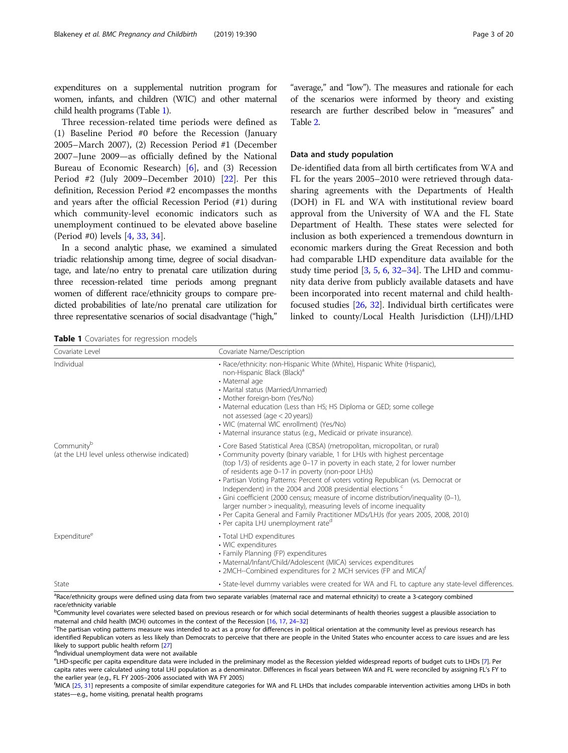<span id="page-2-0"></span>expenditures on a supplemental nutrition program for women, infants, and children (WIC) and other maternal child health programs (Table 1).

Three recession-related time periods were defined as (1) Baseline Period #0 before the Recession (January 2005–March 2007), (2) Recession Period #1 (December 2007–June 2009—as officially defined by the National Bureau of Economic Research) [\[6](#page-18-0)], and (3) Recession Period #2 (July 2009–December 2010) [[22\]](#page-19-0). Per this definition, Recession Period #2 encompasses the months and years after the official Recession Period (#1) during which community-level economic indicators such as unemployment continued to be elevated above baseline (Period #0) levels [[4](#page-18-0), [33](#page-19-0), [34](#page-19-0)].

In a second analytic phase, we examined a simulated triadic relationship among time, degree of social disadvantage, and late/no entry to prenatal care utilization during three recession-related time periods among pregnant women of different race/ethnicity groups to compare predicted probabilities of late/no prenatal care utilization for three representative scenarios of social disadvantage ("high,"

"average," and "low"). The measures and rationale for each of the scenarios were informed by theory and existing research are further described below in "measures" and Table [2.](#page-3-0)

### Data and study population

De-identified data from all birth certificates from WA and FL for the years 2005–2010 were retrieved through datasharing agreements with the Departments of Health (DOH) in FL and WA with institutional review board approval from the University of WA and the FL State Department of Health. These states were selected for inclusion as both experienced a tremendous downturn in economic markers during the Great Recession and both had comparable LHD expenditure data available for the study time period  $[3, 5, 6, 32-34]$  $[3, 5, 6, 32-34]$  $[3, 5, 6, 32-34]$  $[3, 5, 6, 32-34]$  $[3, 5, 6, 32-34]$  $[3, 5, 6, 32-34]$  $[3, 5, 6, 32-34]$  $[3, 5, 6, 32-34]$  $[3, 5, 6, 32-34]$  $[3, 5, 6, 32-34]$  $[3, 5, 6, 32-34]$ . The LHD and community data derive from publicly available datasets and have been incorporated into recent maternal and child healthfocused studies [\[26,](#page-19-0) [32\]](#page-19-0). Individual birth certificates were linked to county/Local Health Jurisdiction (LHJ)/LHD

| Covariate Level                                                         | Covariate Name/Description                                                                                                                                                                                                                                                                                                                                                                                                                                                                                                                                                                                                                                                                                                                                   |
|-------------------------------------------------------------------------|--------------------------------------------------------------------------------------------------------------------------------------------------------------------------------------------------------------------------------------------------------------------------------------------------------------------------------------------------------------------------------------------------------------------------------------------------------------------------------------------------------------------------------------------------------------------------------------------------------------------------------------------------------------------------------------------------------------------------------------------------------------|
| Individual                                                              | • Race/ethnicity: non-Hispanic White (White), Hispanic White (Hispanic),<br>non-Hispanic Black (Black) <sup>a</sup><br>• Maternal age<br>• Marital status (Married/Unmarried)<br>• Mother foreign-born (Yes/No)<br>• Maternal education (Less than HS; HS Diploma or GED; some college<br>not assessed (age $<$ 20 years))<br>• WIC (maternal WIC enrollment) (Yes/No)<br>• Maternal insurance status (e.g., Medicaid or private insurance).                                                                                                                                                                                                                                                                                                                 |
| Community <sup>b</sup><br>(at the LHJ level unless otherwise indicated) | • Core Based Statistical Area (CBSA) (metropolitan, micropolitan, or rural)<br>• Community poverty (binary variable, 1 for LHJs with highest percentage<br>(top 1/3) of residents age 0-17 in poverty in each state, 2 for lower number<br>of residents age 0-17 in poverty (non-poor LHJs)<br>• Partisan Voting Patterns: Percent of voters voting Republican (vs. Democrat or<br>Independent) in the 2004 and 2008 presidential elections <sup>c</sup><br>• Gini coefficient (2000 census; measure of income distribution/inequality (0-1),<br>larger number > inequality), measuring levels of income inequality<br>• Per Capita General and Family Practitioner MDs/LHJs (for years 2005, 2008, 2010)<br>• Per capita LHJ unemployment rate <sup>d</sup> |
| Expenditure <sup>e</sup>                                                | • Total LHD expenditures<br>• WIC expenditures<br>• Family Planning (FP) expenditures<br>• Maternal/Infant/Child/Adolescent (MICA) services expenditures<br>• 2MCH--Combined expenditures for 2 MCH services (FP and MICA) <sup>†</sup>                                                                                                                                                                                                                                                                                                                                                                                                                                                                                                                      |
| State                                                                   | • State-level dummy variables were created for WA and FL to capture any state-level differences.                                                                                                                                                                                                                                                                                                                                                                                                                                                                                                                                                                                                                                                             |

a<br>Race/ethnicity groups were defined using data from two separate variables (maternal race and maternal ethnicity) to create a 3-category combined race/ethnicity variable

b<br>Dommunity level covariates were selected based on previous research or for which social determinants of health theories suggest a plausible association to maternal and child health (MCH) outcomes in the context of the Recession [\[16](#page-19-0), [17,](#page-19-0) [24](#page-19-0)–[32](#page-19-0)]

c The partisan voting patterns measure was intended to act as a proxy for differences in political orientation at the community level as previous research has identified Republican voters as less likely than Democrats to perceive that there are people in the United States who encounter access to care issues and are less likely to support public health reform [\[27](#page-19-0)]

dIndividual unemployment data were not available

e LHD-specific per capita expenditure data were included in the preliminary model as the Recession yielded widespread reports of budget cuts to LHDs [\[7\]](#page-18-0). Per capita rates were calculated using total LHJ population as a denominator. Differences in fiscal years between WA and FL were reconciled by assigning FL's FY to the earlier year (e.g., FL FY 2005–2006 associated with WA FY 2005)

<sup>f</sup>MICA [[25,](#page-19-0) [31\]](#page-19-0) represents a composite of similar expenditure categories for WA and FL LHDs that includes comparable intervention activities among LHDs in both states—e.g., home visiting, prenatal health programs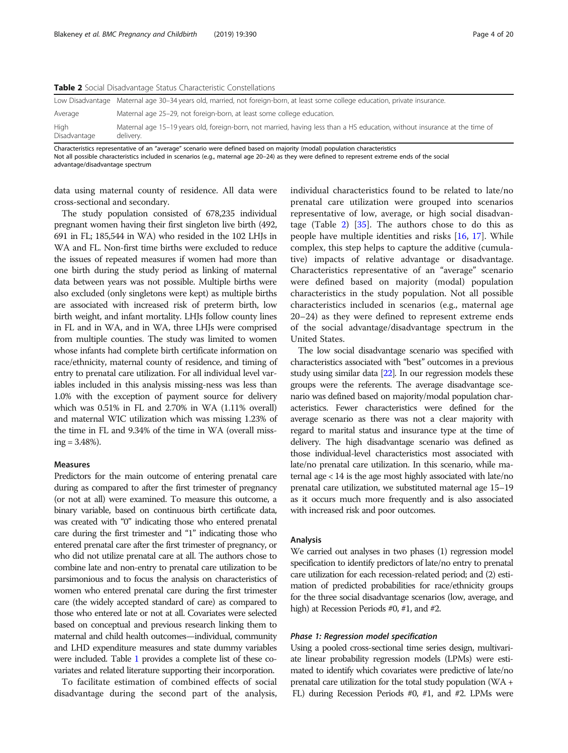|                      | Low Disadvantage Maternal age 30-34 years old, married, not foreign-born, at least some college education, private insurance.           |
|----------------------|-----------------------------------------------------------------------------------------------------------------------------------------|
| Average              | Maternal age 25-29, not foreign-born, at least some college education.                                                                  |
| High<br>Disadvantage | Maternal age 15–19 years old, foreign-born, not married, having less than a HS education, without insurance at the time of<br>delivery. |

### <span id="page-3-0"></span>Table 2 Social Disadvantage Status Characteristic Constellations

Characteristics representative of an "average" scenario were defined based on majority (modal) population characteristics Not all possible characteristics included in scenarios (e.g., maternal age 20–24) as they were defined to represent extreme ends of the social advantage/disadvantage spectrum

data using maternal county of residence. All data were cross-sectional and secondary.

The study population consisted of 678,235 individual pregnant women having their first singleton live birth (492, 691 in FL; 185,544 in WA) who resided in the 102 LHJs in WA and FL. Non-first time births were excluded to reduce the issues of repeated measures if women had more than one birth during the study period as linking of maternal data between years was not possible. Multiple births were also excluded (only singletons were kept) as multiple births are associated with increased risk of preterm birth, low birth weight, and infant mortality. LHJs follow county lines in FL and in WA, and in WA, three LHJs were comprised from multiple counties. The study was limited to women whose infants had complete birth certificate information on race/ethnicity, maternal county of residence, and timing of entry to prenatal care utilization. For all individual level variables included in this analysis missing-ness was less than 1.0% with the exception of payment source for delivery which was 0.51% in FL and 2.70% in WA (1.11% overall) and maternal WIC utilization which was missing 1.23% of the time in FL and 9.34% of the time in WA (overall miss $ing = 3.48\%).$ 

### Measures

Predictors for the main outcome of entering prenatal care during as compared to after the first trimester of pregnancy (or not at all) were examined. To measure this outcome, a binary variable, based on continuous birth certificate data, was created with "0" indicating those who entered prenatal care during the first trimester and "1" indicating those who entered prenatal care after the first trimester of pregnancy, or who did not utilize prenatal care at all. The authors chose to combine late and non-entry to prenatal care utilization to be parsimonious and to focus the analysis on characteristics of women who entered prenatal care during the first trimester care (the widely accepted standard of care) as compared to those who entered late or not at all. Covariates were selected based on conceptual and previous research linking them to maternal and child health outcomes—individual, community and LHD expenditure measures and state dummy variables were included. Table [1](#page-2-0) provides a complete list of these covariates and related literature supporting their incorporation.

To facilitate estimation of combined effects of social disadvantage during the second part of the analysis, individual characteristics found to be related to late/no prenatal care utilization were grouped into scenarios representative of low, average, or high social disadvantage (Table 2)  $[35]$  $[35]$ . The authors chose to do this as people have multiple identities and risks [[16](#page-19-0), [17\]](#page-19-0). While complex, this step helps to capture the additive (cumulative) impacts of relative advantage or disadvantage. Characteristics representative of an "average" scenario were defined based on majority (modal) population characteristics in the study population. Not all possible characteristics included in scenarios (e.g., maternal age 20–24) as they were defined to represent extreme ends of the social advantage/disadvantage spectrum in the United States.

The low social disadvantage scenario was specified with characteristics associated with "best" outcomes in a previous study using similar data [\[22](#page-19-0)]. In our regression models these groups were the referents. The average disadvantage scenario was defined based on majority/modal population characteristics. Fewer characteristics were defined for the average scenario as there was not a clear majority with regard to marital status and insurance type at the time of delivery. The high disadvantage scenario was defined as those individual-level characteristics most associated with late/no prenatal care utilization. In this scenario, while maternal age < 14 is the age most highly associated with late/no prenatal care utilization, we substituted maternal age 15–19 as it occurs much more frequently and is also associated with increased risk and poor outcomes.

### Analysis

We carried out analyses in two phases (1) regression model specification to identify predictors of late/no entry to prenatal care utilization for each recession-related period; and (2) estimation of predicted probabilities for race/ethnicity groups for the three social disadvantage scenarios (low, average, and high) at Recession Periods #0, #1, and #2.

### Phase 1: Regression model specification

Using a pooled cross-sectional time series design, multivariate linear probability regression models (LPMs) were estimated to identify which covariates were predictive of late/no prenatal care utilization for the total study population (WA + FL) during Recession Periods #0, #1, and #2. LPMs were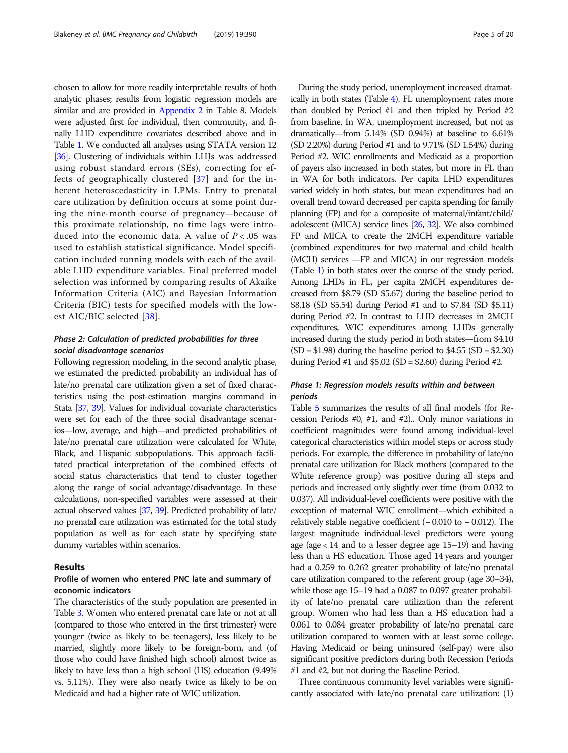chosen to allow for more readily interpretable results of both analytic phases; results from logistic regression models are similar and are provided in Appendix 2 in Table 8. Models were adjusted first for individual, then community, and finally LHD expenditure covariates described above and in Table [1.](#page-2-0) We conducted all analyses using STATA version 12 [[36\]](#page-19-0). Clustering of individuals within LHJs was addressed using robust standard errors (SEs), correcting for effects of geographically clustered [[37\]](#page-19-0) and for the inherent heteroscedasticity in LPMs. Entry to prenatal care utilization by definition occurs at some point during the nine-month course of pregnancy—because of this proximate relationship, no time lags were introduced into the economic data. A value of  $P < .05$  was used to establish statistical significance. Model specification included running models with each of the available LHD expenditure variables. Final preferred model selection was informed by comparing results of Akaike Information Criteria (AIC) and Bayesian Information Criteria (BIC) tests for specified models with the lowest AIC/BIC selected [\[38](#page-19-0)].

### Phase 2: Calculation of predicted probabilities for three social disadvantage scenarios

Following regression modeling, in the second analytic phase, we estimated the predicted probability an individual has of late/no prenatal care utilization given a set of fixed characteristics using the post-estimation margins command in Stata [\[37](#page-19-0), [39\]](#page-19-0). Values for individual covariate characteristics were set for each of the three social disadvantage scenarios—low, average, and high—and predicted probabilities of late/no prenatal care utilization were calculated for White, Black, and Hispanic subpopulations. This approach facilitated practical interpretation of the combined effects of social status characteristics that tend to cluster together along the range of social advantage/disadvantage. In these calculations, non-specified variables were assessed at their actual observed values [[37](#page-19-0), [39](#page-19-0)]. Predicted probability of late/ no prenatal care utilization was estimated for the total study population as well as for each state by specifying state dummy variables within scenarios.

### Results

### Profile of women who entered PNC late and summary of economic indicators

The characteristics of the study population are presented in Table [3.](#page-5-0) Women who entered prenatal care late or not at all (compared to those who entered in the first trimester) were younger (twice as likely to be teenagers), less likely to be married, slightly more likely to be foreign-born, and (of those who could have finished high school) almost twice as likely to have less than a high school (HS) education (9.49% vs. 5.11%). They were also nearly twice as likely to be on Medicaid and had a higher rate of WIC utilization.

During the study period, unemployment increased dramatically in both states (Table [4](#page-6-0)). FL unemployment rates more than doubled by Period #1 and then tripled by Period #2 from baseline. In WA, unemployment increased, but not as dramatically—from 5.14% (SD 0.94%) at baseline to 6.61% (SD 2.20%) during Period #1 and to 9.71% (SD 1.54%) during Period #2. WIC enrollments and Medicaid as a proportion of payers also increased in both states, but more in FL than in WA for both indicators. Per capita LHD expenditures varied widely in both states, but mean expenditures had an overall trend toward decreased per capita spending for family planning (FP) and for a composite of maternal/infant/child/ adolescent (MICA) service lines [\[26](#page-19-0), [32](#page-19-0)]. We also combined FP and MICA to create the 2MCH expenditure variable (combined expenditures for two maternal and child health (MCH) services —FP and MICA) in our regression models (Table [1](#page-2-0)) in both states over the course of the study period. Among LHDs in FL, per capita 2MCH expenditures decreased from \$8.79 (SD \$5.67) during the baseline period to \$8.18 (SD \$5.54) during Period #1 and to \$7.84 (SD \$5.11) during Period #2. In contrast to LHD decreases in 2MCH expenditures, WIC expenditures among LHDs generally increased during the study period in both states—from \$4.10  $(SD = $1.98)$  during the baseline period to  $$4.55$   $(SD = $2.30)$ during Period #1 and  $$5.02$  (SD =  $$2.60$ ) during Period #2.

### Phase 1: Regression models results within and between periods

Table [5](#page-7-0) summarizes the results of all final models (for Recession Periods #0, #1, and #2).. Only minor variations in coefficient magnitudes were found among individual-level categorical characteristics within model steps or across study periods. For example, the difference in probability of late/no prenatal care utilization for Black mothers (compared to the White reference group) was positive during all steps and periods and increased only slightly over time (from 0.032 to 0.037). All individual-level coefficients were positive with the exception of maternal WIC enrollment—which exhibited a relatively stable negative coefficient (− 0.010 to − 0.012). The largest magnitude individual-level predictors were young age (age < 14 and to a lesser degree age 15–19) and having less than a HS education. Those aged 14 years and younger had a 0.259 to 0.262 greater probability of late/no prenatal care utilization compared to the referent group (age 30–34), while those age 15–19 had a 0.087 to 0.097 greater probability of late/no prenatal care utilization than the referent group. Women who had less than a HS education had a 0.061 to 0.084 greater probability of late/no prenatal care utilization compared to women with at least some college. Having Medicaid or being uninsured (self-pay) were also significant positive predictors during both Recession Periods #1 and #2, but not during the Baseline Period.

Three continuous community level variables were significantly associated with late/no prenatal care utilization: (1)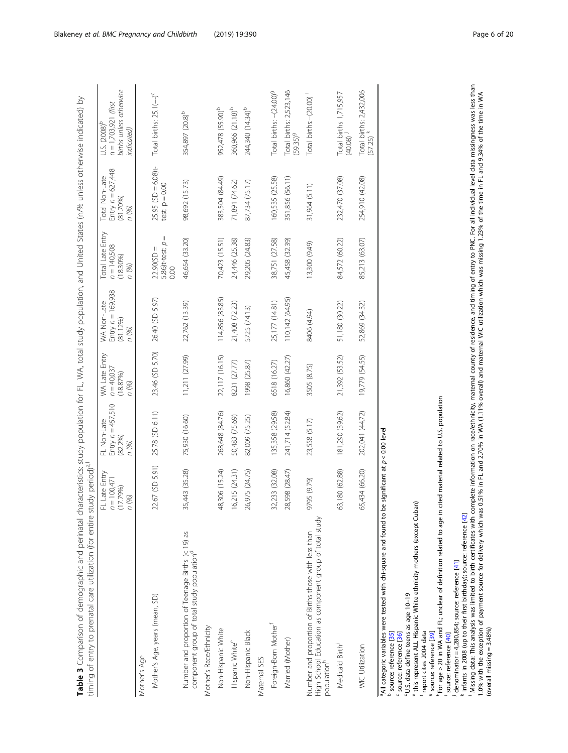<span id="page-5-0"></span>

| timing of entry to prenatal care utilization (for entire study period) <sup>a,1</sup><br>Table 3 Comparison of demographic and perinatal ch           |                                                     |                                                        |                                                    |                                                         |                                                        | naracteristics: study population for FL, WA, total study population, and United States (n/% unless otherwise indicated) by |                                                                                             |
|-------------------------------------------------------------------------------------------------------------------------------------------------------|-----------------------------------------------------|--------------------------------------------------------|----------------------------------------------------|---------------------------------------------------------|--------------------------------------------------------|----------------------------------------------------------------------------------------------------------------------------|---------------------------------------------------------------------------------------------|
|                                                                                                                                                       | FL Late Entry<br>$n = 100,471$<br>(17.79%)<br>n (%) | Entry $n = 457,510$<br>FL Non-Late<br>(82.2%)<br>n (%) | WA Late Entry<br>$n = 40,037$<br>(18.87%)<br>n (%) | Entry $n = 169,938$<br>WA Non-Late<br>(81.12%)<br>n (%) | Total Late Entry<br>$n = 140,508$<br>(18.30%)<br>n (%) | Entry $n = 627,448$<br>Total Non-Late<br>(81.70%)<br>n (%)                                                                 | births unless otherwise<br>$n = 1,703,921$ (first<br>U.S. (2008) <sup>b</sup><br>indicated) |
| Mother's Age                                                                                                                                          |                                                     |                                                        |                                                    |                                                         |                                                        |                                                                                                                            |                                                                                             |
| Mother's Age, years (mean, SD)                                                                                                                        | 22.67 (SD 5.91)                                     | 25.78 (SD 6.11)                                        | 23.46 (SD 5.70)                                    | 26.40 (SD 5.97)                                         | 5.86)t-test: $p =$<br>$22.90(SD =$<br>0.00             | $25.95$ (SD = 6.08)t-<br>test: $p = 0.00$                                                                                  | Total births: 25.1(--) <sup>c</sup>                                                         |
| Number and proportion of Teenage Births (< 19) as<br>component group of total study population <sup>9</sup>                                           | 35,443 (35.28)                                      | 75,930 (16.60)                                         | 11,211 (27.99)                                     | 22,762 (13.39)                                          | 46,654 (33.20)                                         | 98,692 (15.73)                                                                                                             | 354,897 (20.8) <sup>b</sup>                                                                 |
| Mother's Race/Ethnicity                                                                                                                               |                                                     |                                                        |                                                    |                                                         |                                                        |                                                                                                                            |                                                                                             |
| Non-Hispanic White                                                                                                                                    | 48,306 (15.24)                                      | 268,648 (84.76)                                        | 22,117 (16.15)                                     | 114,856 (83.85)                                         | 70,423 (15.51)                                         | 383,504 (84.49)                                                                                                            | 952,478 (55.90) <sup>b</sup>                                                                |
| Hispanic White <sup>e</sup>                                                                                                                           | 16,215(24.31)                                       | 50,483 (75.69)                                         | 8231 (27.77)                                       | 21,408 (72.23)                                          | 24,446 (25.38)                                         | 71,891 (74.62)                                                                                                             | 360,966 (21.18) <sup>b</sup>                                                                |
| Non-Hispanic Black                                                                                                                                    | 26,975 (24.75)                                      | 82,009 (75.25)                                         | 1998 (25.87)                                       | 5725 (74.13)                                            | 29,205 (24.83)                                         | 87,734 (75.17)                                                                                                             | 244,340 (14.34) <sup>b</sup>                                                                |
| Maternal SES                                                                                                                                          |                                                     |                                                        |                                                    |                                                         |                                                        |                                                                                                                            |                                                                                             |
| Foreign-Born Mother                                                                                                                                   | 32,233 (32.08)                                      | 135,358 (29.58)                                        | 6518 (16.27)                                       | 25,177 (14.81)                                          | 38,751 (27.58)                                         | 160,535 (25.58)                                                                                                            | Total births: -- (24.00) <sup>9</sup>                                                       |
| Married (Mother)                                                                                                                                      | 28,598 (28.47)                                      | 241,714 (52.84)                                        | 16,860 (42.27)                                     | 110,142 (64.95)                                         | 45,458 (32.39)                                         | 351,856 (56.11)                                                                                                            | Total births: 2,523,146<br>$(59.35)^9$                                                      |
| High School Education as component group of total study<br>Number and proportion of Births those with less than<br>population <sup>h</sup>            | 9795 (9.79)                                         | 23,558 (5.17)                                          | 3505 (8.75)                                        | 8406 (4.94)                                             | 13,300 (9.49)                                          | 31,964 (5.11)                                                                                                              | Total births:-(20.00)                                                                       |
| Medicaid Birth                                                                                                                                        | 53,180 (62.88)                                      | 181,290 (39.62)                                        | 21,392 (53.52)                                     | 51,180 (30.22)                                          | 84,572 (60.22)                                         | 232,470 (37.08)                                                                                                            | Total births 1,715,957<br>$(40.08)$ <sup>1</sup>                                            |
| WIC Utilization                                                                                                                                       | 65,434 (66.20)                                      | 202,041 (44.72)                                        | 19,779 (54.55)                                     | 52,869 (34.32)                                          | 85,213 (63.07)                                         | 254,910 (42.08)                                                                                                            | Total births: 2,432,006<br>$(57.25)^{k}$                                                    |
| <sup>a</sup> All categoric variables were tested with chi-square and found to be significant at p < 0.00 level<br><sup>b</sup> source: reference [35] |                                                     |                                                        |                                                    |                                                         |                                                        |                                                                                                                            |                                                                                             |

source: reference [\[36\]](#page-19-0)

dU.S. data define teens as age 10–19

 this represent ALL Hispanic White ethnicity mothers (except Cuban) report cites 2004 data

ef

 report cites 2004 data source: reference [[39](#page-19-0)]

ם a

hFor age > 20 in WA and FL; unclear of definition related to age in cited material related to U.S. population

source: reference [\[40](#page-19-0)]

 $j$  denominator = 4,280,854; source: reference  $[41]$  $[41]$  $[41]$ 

infants in 2008 (up to their first birthday); source: reference [[42](#page-19-0)]

Missing data: This analysis was limited to birth certificates with certificates with complete information on race/ethnicity, maternal county of residence, and timing of entry to PNC. For all individual level data missingne 1.09% with the exception of payment source for delivery which was 0.51% in FL and 2.70% in FL and 2.70% in FL and 2.11% of the time in WA (1.11% of the time in WA (1.11% of the time in WA (1.11%) and 9.34% of the time in W (overall missing  $=$  3.48%) (overall missing  $=$  3.48%)  $\ge$   $-$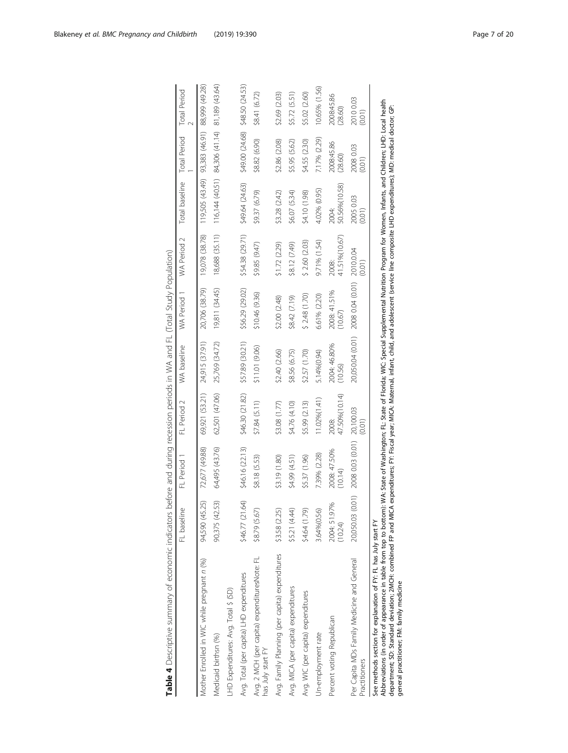| Table 4 Descriptive summary of economic indicators                                                                                                                                                                                                                                                                                                                                                                                                                                                                                                   |                         |                         |                        | before and during recession periods in WA and FL (Total Study Population) |                         |                        |                        |                                               |                       |
|------------------------------------------------------------------------------------------------------------------------------------------------------------------------------------------------------------------------------------------------------------------------------------------------------------------------------------------------------------------------------------------------------------------------------------------------------------------------------------------------------------------------------------------------------|-------------------------|-------------------------|------------------------|---------------------------------------------------------------------------|-------------------------|------------------------|------------------------|-----------------------------------------------|-----------------------|
|                                                                                                                                                                                                                                                                                                                                                                                                                                                                                                                                                      | FL baseline             | FL Period 1             | FL Period 2            | WA baseline                                                               | WA Period 1             | WA Period 2            |                        | Total baseline Total Period Total Period      |                       |
| Mother Enrolled in WIC while pregnant n (%)                                                                                                                                                                                                                                                                                                                                                                                                                                                                                                          | 94,590 (45.25)          | 72,677 (49.88)          | 69,921 (53.21)         | 24,915 (37.91)                                                            | 20,706 (38.79)          | 19,078 (38.78)         |                        | 119,505 (43.49) 93,383 (46.91) 88,999 (49.28) |                       |
| Medicaid birthsn (%)                                                                                                                                                                                                                                                                                                                                                                                                                                                                                                                                 | 90,375 (42.53)          | 64,495 (43.76)          | 62,501 (47.06)         | 25,769 (34.72)                                                            | 19,811 (34.45)          | 18,688 (35.11)         |                        | 116,144 (40.51) 84,306 (41.14) 81,189 (43.64) |                       |
| LHD Expenditures: Avg. Total \$ (SD)                                                                                                                                                                                                                                                                                                                                                                                                                                                                                                                 |                         |                         |                        |                                                                           |                         |                        |                        |                                               |                       |
| Avg. Total (per capita) LHD expenditures                                                                                                                                                                                                                                                                                                                                                                                                                                                                                                             | \$46.77 (21.64)         | \$46.16 (22.13)         | \$46.30 (21.82)        | \$57.89 (30.21)                                                           | \$56.29 (29.02)         | \$54.38 (29.71)        | \$49.64 (24.63)        | \$49.00 (24.68) \$48.50 (24.53)               |                       |
| Avg. 2 MCH (per capita) expendituresNote: FL<br>has July start FY                                                                                                                                                                                                                                                                                                                                                                                                                                                                                    | \$8.79 (5.67)           | \$8.18 (5.53)           | \$7.84 (5.11)          | \$11.01 (9.06)                                                            | \$10.46 (9.36)          | \$9.85 (9.47)          | \$9.37 (6.79)          | \$8.82 (6.90)                                 | \$8.41 (6.72)         |
| Avg. Family Planning (per capita) expenditures                                                                                                                                                                                                                                                                                                                                                                                                                                                                                                       | \$3.58 (2.25)           | \$3.19 (1.80)           | \$3.08 (1.77)          | \$2.40 (2.66)                                                             | \$2.00 (2.48)           | \$1.72 (2.29)          | \$3.28 (2.42)          | \$2.86 (2.08)                                 | \$2.69 (2.03)         |
| Avg. MICA (per capita) expenditures                                                                                                                                                                                                                                                                                                                                                                                                                                                                                                                  | \$5.21 (4.44)           | \$4.99 (4.51)           | \$4.76 (4.10)          | \$8.56 (6.75)                                                             | \$8.42 (7.19)           | \$8.12 (7.49)          | \$6.07 (5.34)          | \$5.95 (5.62)                                 | \$5.72 (5.51)         |
| Avg. WIC (per capita) expenditures                                                                                                                                                                                                                                                                                                                                                                                                                                                                                                                   | \$4.64 (1.79)           | \$5.37 (1.96)           | \$5.99 (2.13)          | \$2.57 (1.70)                                                             | \$ 2.48 (1.70)          | \$ 2.60 (2.03)         | \$4.10 (1.98)          | \$4.55 (2.30)                                 | \$5.02 (2.60)         |
| Un-employment rate                                                                                                                                                                                                                                                                                                                                                                                                                                                                                                                                   | 3.64%(0.56              | 7.39% (2.28)            | 11.02%(1.41)           | 5.14%(0.94)                                                               | 6.61% (2.20)            | 9.71% (1.54)           | 4.02% (0.95)           | 7.17% (2.29)                                  | 10.65% (1.56)         |
| Percent voting Republican                                                                                                                                                                                                                                                                                                                                                                                                                                                                                                                            | 2004: 51.97%<br>(10.24) | 2008: 47.50%<br>(10.14) | 47.50%(10.14)<br>2008: | 2004: 46.80%<br>(10.56)                                                   | 2008: 41.51%<br>(10.67) | 41.51%(10.67)<br>2008: | 50.56%(10.58)<br>2004: | 2008:45.86<br>(28.60)                         | 2008:45.86<br>(28.60) |
| Per Capita MDs Family Medicine and General<br>Practitioners                                                                                                                                                                                                                                                                                                                                                                                                                                                                                          | 20,050.03 (0.01)        | 2008 0.03 (0.01)        | 20,100.03<br>(0.01)    | 20,050.04 (0.01)                                                          | 2008 0.04 (0.01)        | 2010.0.04<br>(0.01)    | 2005 0.03<br>(0.01)    | 2008 0.03<br>(0.01)                           | 2010 0.03<br>(0.01)   |
| Abbreviations (in order of appearance in table from top to bottom): WA: State of Washington; FL: State of Florida; WIC: Special Supplemental Nutrition Program for Women, Infants, and Children; LHD: Local health<br>department; SD: Standard deviation; 2MCH: combined FP and MICA expenditures; FY: Fiscal year; MICA: Maternal, infant, child, and adolescent (service line composite LHD expenditures); MD: medical doctor; GP:<br>See methods section for explanation of FY: FL has July start FY<br>general practitioner; FM: family medicine |                         |                         |                        |                                                                           |                         |                        |                        |                                               |                       |

<span id="page-6-0"></span>Blakeney et al. BMC Pregnancy and Childbirth (2019) 19:390 example 3 and 20 page 7 of 20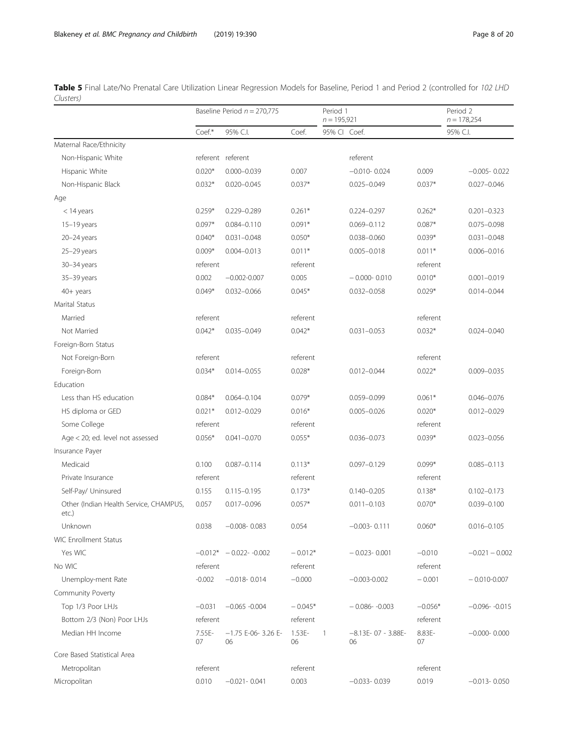<span id="page-7-0"></span>Table 5 Final Late/No Prenatal Care Utilization Linear Regression Models for Baseline, Period 1 and Period 2 (controlled for 102 LHD Clusters)

|                                                 |              | Baseline Period $n = 270,775$ |                 | Period 1<br>$n = 195,921$ |                               |              | Period 2<br>$n = 178,254$ |
|-------------------------------------------------|--------------|-------------------------------|-----------------|---------------------------|-------------------------------|--------------|---------------------------|
|                                                 | Coef.*       | 95% C.I.                      | Coef.           | 95% CI                    | Coef.                         |              | 95% C.I.                  |
| Maternal Race/Ethnicity                         |              |                               |                 |                           |                               |              |                           |
| Non-Hispanic White                              |              | referent referent             |                 |                           | referent                      |              |                           |
| Hispanic White                                  | $0.020*$     | $0.000 - 0.039$               | 0.007           |                           | $-0.010 - 0.024$              | 0.009        | $-0.005 - 0.022$          |
| Non-Hispanic Black                              | $0.032*$     | $0.020 - 0.045$               | $0.037*$        |                           | $0.025 - 0.049$               | $0.037*$     | $0.027 - 0.046$           |
| Age                                             |              |                               |                 |                           |                               |              |                           |
| $<$ 14 years                                    | $0.259*$     | $0.229 - 0.289$               | $0.261*$        |                           | $0.224 - 0.297$               | $0.262*$     | $0.201 - 0.323$           |
| $15-19$ years                                   | $0.097*$     | $0.084 - 0.110$               | $0.091*$        |                           | $0.069 - 0.112$               | $0.087*$     | $0.075 - 0.098$           |
| 20-24 years                                     | $0.040*$     | $0.031 - 0.048$               | $0.050*$        |                           | $0.038 - 0.060$               | $0.039*$     | $0.031 - 0.048$           |
| 25-29 years                                     | $0.009*$     | $0.004 - 0.013$               | $0.011*$        |                           | $0.005 - 0.018$               | $0.011*$     | $0.006 - 0.016$           |
| 30-34 years                                     | referent     |                               | referent        |                           |                               | referent     |                           |
| 35-39 years                                     | 0.002        | $-0.002 - 0.007$              | 0.005           |                           | $-0.000 - 0.010$              | $0.010*$     | $0.001 - 0.019$           |
| 40+ years                                       | $0.049*$     | $0.032 - 0.066$               | $0.045*$        |                           | $0.032 - 0.058$               | $0.029*$     | $0.014 - 0.044$           |
| Marital Status                                  |              |                               |                 |                           |                               |              |                           |
| Married                                         | referent     |                               | referent        |                           |                               | referent     |                           |
| Not Married                                     | $0.042*$     | $0.035 - 0.049$               | $0.042*$        |                           | $0.031 - 0.053$               | $0.032*$     | $0.024 - 0.040$           |
| Foreign-Born Status                             |              |                               |                 |                           |                               |              |                           |
| Not Foreign-Born                                | referent     |                               | referent        |                           |                               | referent     |                           |
| Foreign-Born                                    | $0.034*$     | $0.014 - 0.055$               | $0.028*$        |                           | $0.012 - 0.044$               | $0.022*$     | $0.009 - 0.035$           |
| Education                                       |              |                               |                 |                           |                               |              |                           |
| Less than HS education                          | $0.084*$     | $0.064 - 0.104$               | $0.079*$        |                           | 0.059-0.099                   | $0.061*$     | $0.046 - 0.076$           |
| HS diploma or GED                               | $0.021*$     | $0.012 - 0.029$               | $0.016*$        |                           | $0.005 - 0.026$               | $0.020*$     | $0.012 - 0.029$           |
| Some College                                    | referent     |                               | referent        |                           |                               | referent     |                           |
| Age < 20; ed. level not assessed                | $0.056*$     | $0.041 - 0.070$               | $0.055*$        |                           | $0.036 - 0.073$               | $0.039*$     | $0.023 - 0.056$           |
| Insurance Payer                                 |              |                               |                 |                           |                               |              |                           |
| Medicaid                                        | 0.100        | $0.087 - 0.114$               | $0.113*$        |                           | $0.097 - 0.129$               | $0.099*$     | $0.085 - 0.113$           |
| Private Insurance                               | referent     |                               | referent        |                           |                               | referent     |                           |
| Self-Pay/ Uninsured                             | 0.155        | $0.115 - 0.195$               | $0.173*$        |                           | $0.140 - 0.205$               | $0.138*$     | $0.102 - 0.173$           |
| Other (Indian Health Service, CHAMPUS,<br>etc.) | 0.057        | $0.017 - 0.096$               | $0.057*$        |                           | $0.011 - 0.103$               | $0.070*$     | $0.039 - 0.100$           |
| Unknown                                         | 0.038        | $-0.008 - 0.083$              | 0.054           |                           | $-0.003 - 0.111$              | $0.060*$     | $0.016 - 0.105$           |
| <b>WIC Enrollment Status</b>                    |              |                               |                 |                           |                               |              |                           |
| Yes WIC                                         |              | $-0.012* -0.022-0.002$        | $-0.012*$       |                           | $-0.023 - 0.001$              | $-0.010$     | $-0.021 - 0.002$          |
| No WIC                                          | referent     |                               | referent        |                           |                               | referent     |                           |
| Unemploy-ment Rate                              | $-0.002$     | $-0.018 - 0.014$              | $-0.000$        |                           | $-0.003 - 0.002$              | $-0.001$     | $-0.010 - 0.007$          |
| Community Poverty                               |              |                               |                 |                           |                               |              |                           |
| Top 1/3 Poor LHJs                               | $-0.031$     | $-0.065 - 0.004$              | $-0.045*$       |                           | $-0.086 - 0.003$              | $-0.056*$    | $-0.096 - 0.015$          |
| Bottom 2/3 (Non) Poor LHJs                      | referent     |                               | referent        |                           |                               | referent     |                           |
| Median HH Income                                | 7.55E-<br>07 | $-1.75$ E-06- 3.26 E-<br>06   | $1.53E -$<br>06 | 1                         | $-8.13E - 07 - 3.88E -$<br>06 | 8.83E-<br>07 | $-0.000 - 0.000$          |
| Core Based Statistical Area                     |              |                               |                 |                           |                               |              |                           |
| Metropolitan                                    | referent     |                               | referent        |                           |                               | referent     |                           |
| Micropolitan                                    | 0.010        | $-0.021 - 0.041$              | 0.003           |                           | $-0.033 - 0.039$              | 0.019        | $-0.013 - 0.050$          |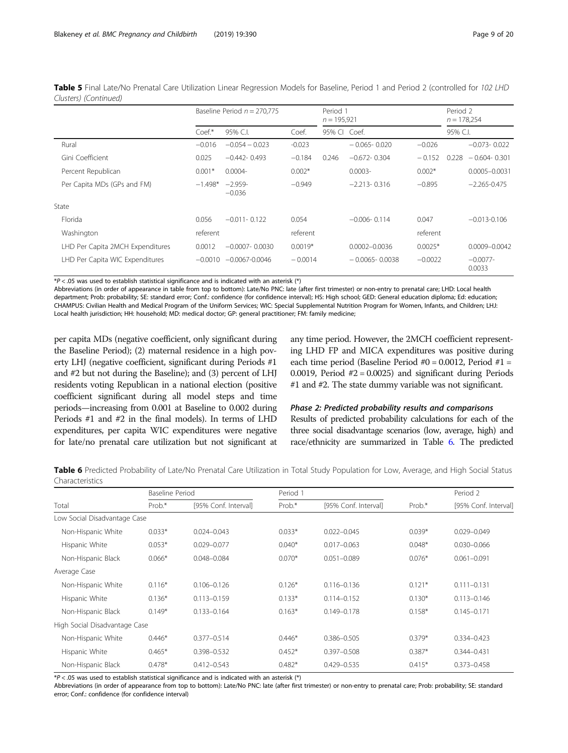<span id="page-8-0"></span>Table 5 Final Late/No Prenatal Care Utilization Linear Regression Models for Baseline, Period 1 and Period 2 (controlled for 102 LHD Clusters) (Continued)

|                                  |           | Baseline Period $n = 270,775$ |           | Period 1<br>$n = 195,921$ |                    |           | Period 2<br>$n = 178,254$ |                      |
|----------------------------------|-----------|-------------------------------|-----------|---------------------------|--------------------|-----------|---------------------------|----------------------|
|                                  | $Coef.*$  | 95% C.I.                      | Coef.     | 95% CI Coef.              |                    |           | 95% C.I.                  |                      |
| Rural                            | $-0.016$  | $-0.054 - 0.023$              | $-0.023$  |                           | $-0.065 - 0.020$   | $-0.026$  |                           | $-0.073 - 0.022$     |
| Gini Coefficient                 | 0.025     | $-0.442 - 0.493$              | $-0.184$  | 0.246                     | $-0.672 - 0.304$   | $-0.152$  | 0.228                     | $-0.604 - 0.301$     |
| Percent Republican               | $0.001*$  | $0.0004 -$                    | $0.002*$  |                           | $0.0003 -$         | $0.002*$  |                           | $0.0005 - 0.0031$    |
| Per Capita MDs (GPs and FM)      | $-1.498*$ | $-2.959-$<br>$-0.036$         | $-0.949$  |                           | $-2.213 - 0.316$   | $-0.895$  |                           | $-2.265 - 0.475$     |
| State                            |           |                               |           |                           |                    |           |                           |                      |
| Florida                          | 0.056     | $-0.011 - 0.122$              | 0.054     |                           | $-0.006 - 0.114$   | 0.047     |                           | $-0.013 - 0.106$     |
| Washington                       | referent  |                               | referent  |                           |                    | referent  |                           |                      |
| LHD Per Capita 2MCH Expenditures | 0.0012    | $-0.0007 - 0.0030$            | $0.0019*$ |                           | $0.0002 - 0.0036$  | $0.0025*$ |                           | 0.0009-0.0042        |
| LHD Per Capita WIC Expenditures  | $-0.0010$ | $-0.0067 - 0.0046$            | $-0.0014$ |                           | $-0.0065 - 0.0038$ | $-0.0022$ |                           | $-0.0077-$<br>0.0033 |

 $*P < .05$  was used to establish statistical significance and is indicated with an asterisk (\*)

Abbreviations (in order of appearance in table from top to bottom): Late/No PNC: late (after first trimester) or non-entry to prenatal care; LHD: Local health department; Prob: probability; SE: standard error; Conf.: confidence (for confidence interval); HS: High school; GED: General education diploma; Ed: education; CHAMPUS: Civilian Health and Medical Program of the Uniform Services; WIC: Special Supplemental Nutrition Program for Women, Infants, and Children; LHJ: Local health jurisdiction; HH: household; MD: medical doctor; GP: general practitioner; FM: family medicine;

per capita MDs (negative coefficient, only significant during the Baseline Period); (2) maternal residence in a high poverty LHJ (negative coefficient, significant during Periods #1 and #2 but not during the Baseline); and (3) percent of LHJ residents voting Republican in a national election (positive coefficient significant during all model steps and time periods—increasing from 0.001 at Baseline to 0.002 during Periods #1 and #2 in the final models). In terms of LHD expenditures, per capita WIC expenditures were negative for late/no prenatal care utilization but not significant at any time period. However, the 2MCH coefficient representing LHD FP and MICA expenditures was positive during each time period (Baseline Period  $\#0 = 0.0012$ , Period  $\#1 =$ 0.0019, Period  $#2 = 0.0025$  and significant during Periods #1 and #2. The state dummy variable was not significant.

### Phase 2: Predicted probability results and comparisons

Results of predicted probability calculations for each of the three social disadvantage scenarios (low, average, high) and race/ethnicity are summarized in Table 6. The predicted

Table 6 Predicted Probability of Late/No Prenatal Care Utilization in Total Study Population for Low, Average, and High Social Status **Characteristics** 

|                               | Baseline Period |                      | Period 1 |                      |          | Period 2             |
|-------------------------------|-----------------|----------------------|----------|----------------------|----------|----------------------|
| Total                         | Prob.*          | [95% Conf. Interval] | Prob.*   | [95% Conf. Interval] | Prob.*   | [95% Conf. Interval] |
| Low Social Disadvantage Case  |                 |                      |          |                      |          |                      |
| Non-Hispanic White            | $0.033*$        | $0.024 - 0.043$      | $0.033*$ | $0.022 - 0.045$      | $0.039*$ | $0.029 - 0.049$      |
| Hispanic White                | $0.053*$        | $0.029 - 0.077$      | $0.040*$ | $0.017 - 0.063$      | $0.048*$ | $0.030 - 0.066$      |
| Non-Hispanic Black            | $0.066*$        | $0.048 - 0.084$      | $0.070*$ | $0.051 - 0.089$      | $0.076*$ | $0.061 - 0.091$      |
| Average Case                  |                 |                      |          |                      |          |                      |
| Non-Hispanic White            | $0.116*$        | $0.106 - 0.126$      | $0.126*$ | $0.116 - 0.136$      | $0.121*$ | $0.111 - 0.131$      |
| Hispanic White                | $0.136*$        | $0.113 - 0.159$      | $0.133*$ | $0.114 - 0.152$      | $0.130*$ | $0.113 - 0.146$      |
| Non-Hispanic Black            | $0.149*$        | $0.133 - 0.164$      | $0.163*$ | $0.149 - 0.178$      | $0.158*$ | $0.145 - 0.171$      |
| High Social Disadvantage Case |                 |                      |          |                      |          |                      |
| Non-Hispanic White            | $0.446*$        | $0.377 - 0.514$      | $0.446*$ | 0.386-0.505          | $0.379*$ | $0.334 - 0.423$      |
| Hispanic White                | $0.465*$        | 0.398-0.532          | $0.452*$ | $0.397 - 0.508$      | $0.387*$ | $0.344 - 0.431$      |
| Non-Hispanic Black            | $0.478*$        | $0.412 - 0.543$      | $0.482*$ | 0.429-0.535          | $0.415*$ | $0.373 - 0.458$      |

 $*P$  < .05 was used to establish statistical significance and is indicated with an asterisk (\*)

Abbreviations (in order of appearance from top to bottom): Late/No PNC: late (after first trimester) or non-entry to prenatal care; Prob: probability; SE: standard error; Conf.: confidence (for confidence interval)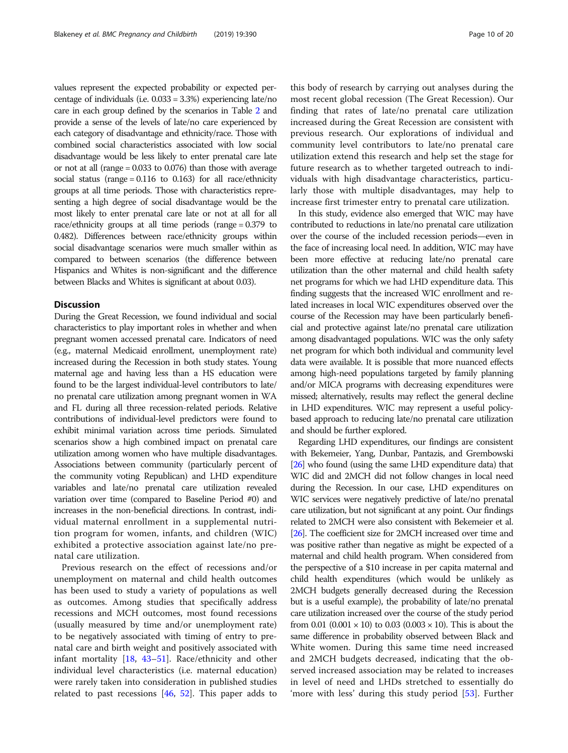values represent the expected probability or expected percentage of individuals (i.e. 0.033 = 3.3%) experiencing late/no care in each group defined by the scenarios in Table [2](#page-3-0) and provide a sense of the levels of late/no care experienced by each category of disadvantage and ethnicity/race. Those with combined social characteristics associated with low social disadvantage would be less likely to enter prenatal care late or not at all (range  $= 0.033$  to 0.076) than those with average social status (range  $= 0.116$  to 0.163) for all race/ethnicity groups at all time periods. Those with characteristics representing a high degree of social disadvantage would be the most likely to enter prenatal care late or not at all for all race/ethnicity groups at all time periods (range = 0.379 to 0.482). Differences between race/ethnicity groups within social disadvantage scenarios were much smaller within as compared to between scenarios (the difference between Hispanics and Whites is non-significant and the difference between Blacks and Whites is significant at about 0.03).

### **Discussion**

During the Great Recession, we found individual and social characteristics to play important roles in whether and when pregnant women accessed prenatal care. Indicators of need (e.g., maternal Medicaid enrollment, unemployment rate) increased during the Recession in both study states. Young maternal age and having less than a HS education were found to be the largest individual-level contributors to late/ no prenatal care utilization among pregnant women in WA and FL during all three recession-related periods. Relative contributions of individual-level predictors were found to exhibit minimal variation across time periods. Simulated scenarios show a high combined impact on prenatal care utilization among women who have multiple disadvantages. Associations between community (particularly percent of the community voting Republican) and LHD expenditure variables and late/no prenatal care utilization revealed variation over time (compared to Baseline Period #0) and increases in the non-beneficial directions. In contrast, individual maternal enrollment in a supplemental nutrition program for women, infants, and children (WIC) exhibited a protective association against late/no prenatal care utilization.

Previous research on the effect of recessions and/or unemployment on maternal and child health outcomes has been used to study a variety of populations as well as outcomes. Among studies that specifically address recessions and MCH outcomes, most found recessions (usually measured by time and/or unemployment rate) to be negatively associated with timing of entry to prenatal care and birth weight and positively associated with infant mortality [[18](#page-19-0), [43](#page-19-0)–[51](#page-19-0)]. Race/ethnicity and other individual level characteristics (i.e. maternal education) were rarely taken into consideration in published studies related to past recessions [\[46](#page-19-0), [52\]](#page-19-0). This paper adds to

this body of research by carrying out analyses during the most recent global recession (The Great Recession). Our finding that rates of late/no prenatal care utilization increased during the Great Recession are consistent with previous research. Our explorations of individual and community level contributors to late/no prenatal care utilization extend this research and help set the stage for future research as to whether targeted outreach to individuals with high disadvantage characteristics, particularly those with multiple disadvantages, may help to increase first trimester entry to prenatal care utilization.

In this study, evidence also emerged that WIC may have contributed to reductions in late/no prenatal care utilization over the course of the included recession periods—even in the face of increasing local need. In addition, WIC may have been more effective at reducing late/no prenatal care utilization than the other maternal and child health safety net programs for which we had LHD expenditure data. This finding suggests that the increased WIC enrollment and related increases in local WIC expenditures observed over the course of the Recession may have been particularly beneficial and protective against late/no prenatal care utilization among disadvantaged populations. WIC was the only safety net program for which both individual and community level data were available. It is possible that more nuanced effects among high-need populations targeted by family planning and/or MICA programs with decreasing expenditures were missed; alternatively, results may reflect the general decline in LHD expenditures. WIC may represent a useful policybased approach to reducing late/no prenatal care utilization and should be further explored.

Regarding LHD expenditures, our findings are consistent with Bekemeier, Yang, Dunbar, Pantazis, and Grembowski [[26\]](#page-19-0) who found (using the same LHD expenditure data) that WIC did and 2MCH did not follow changes in local need during the Recession. In our case, LHD expenditures on WIC services were negatively predictive of late/no prenatal care utilization, but not significant at any point. Our findings related to 2MCH were also consistent with Bekemeier et al. [[26\]](#page-19-0). The coefficient size for 2MCH increased over time and was positive rather than negative as might be expected of a maternal and child health program. When considered from the perspective of a \$10 increase in per capita maternal and child health expenditures (which would be unlikely as 2MCH budgets generally decreased during the Recession but is a useful example), the probability of late/no prenatal care utilization increased over the course of the study period from 0.01 (0.001  $\times$  10) to 0.03 (0.003  $\times$  10). This is about the same difference in probability observed between Black and White women. During this same time need increased and 2MCH budgets decreased, indicating that the observed increased association may be related to increases in level of need and LHDs stretched to essentially do 'more with less' during this study period [[53\]](#page-19-0). Further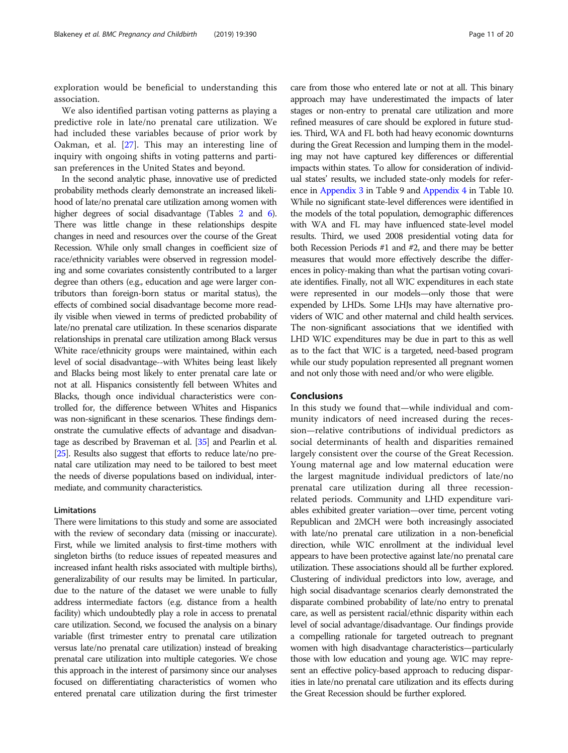exploration would be beneficial to understanding this association.

We also identified partisan voting patterns as playing a predictive role in late/no prenatal care utilization. We had included these variables because of prior work by Oakman, et al. [[27](#page-19-0)]. This may an interesting line of inquiry with ongoing shifts in voting patterns and partisan preferences in the United States and beyond.

In the second analytic phase, innovative use of predicted probability methods clearly demonstrate an increased likelihood of late/no prenatal care utilization among women with higher degrees of social disadvantage (Tables [2](#page-3-0) and [6](#page-8-0)). There was little change in these relationships despite changes in need and resources over the course of the Great Recession. While only small changes in coefficient size of race/ethnicity variables were observed in regression modeling and some covariates consistently contributed to a larger degree than others (e.g., education and age were larger contributors than foreign-born status or marital status), the effects of combined social disadvantage become more readily visible when viewed in terms of predicted probability of late/no prenatal care utilization. In these scenarios disparate relationships in prenatal care utilization among Black versus White race/ethnicity groups were maintained, within each level of social disadvantage--with Whites being least likely and Blacks being most likely to enter prenatal care late or not at all. Hispanics consistently fell between Whites and Blacks, though once individual characteristics were controlled for, the difference between Whites and Hispanics was non-significant in these scenarios. These findings demonstrate the cumulative effects of advantage and disadvantage as described by Braveman et al. [\[35\]](#page-19-0) and Pearlin et al. [[25\]](#page-19-0). Results also suggest that efforts to reduce late/no prenatal care utilization may need to be tailored to best meet the needs of diverse populations based on individual, intermediate, and community characteristics.

### Limitations

There were limitations to this study and some are associated with the review of secondary data (missing or inaccurate). First, while we limited analysis to first-time mothers with singleton births (to reduce issues of repeated measures and increased infant health risks associated with multiple births), generalizability of our results may be limited. In particular, due to the nature of the dataset we were unable to fully address intermediate factors (e.g. distance from a health facility) which undoubtedly play a role in access to prenatal care utilization. Second, we focused the analysis on a binary variable (first trimester entry to prenatal care utilization versus late/no prenatal care utilization) instead of breaking prenatal care utilization into multiple categories. We chose this approach in the interest of parsimony since our analyses focused on differentiating characteristics of women who entered prenatal care utilization during the first trimester

care from those who entered late or not at all. This binary approach may have underestimated the impacts of later stages or non-entry to prenatal care utilization and more refined measures of care should be explored in future studies. Third, WA and FL both had heavy economic downturns during the Great Recession and lumping them in the modeling may not have captured key differences or differential impacts within states. To allow for consideration of individual states' results, we included state-only models for reference in Appendix 3 in Table 9 and Appendix 4 in Table 10. While no significant state-level differences were identified in the models of the total population, demographic differences with WA and FL may have influenced state-level model results. Third, we used 2008 presidential voting data for both Recession Periods #1 and #2, and there may be better measures that would more effectively describe the differences in policy-making than what the partisan voting covariate identifies. Finally, not all WIC expenditures in each state were represented in our models—only those that were expended by LHDs. Some LHJs may have alternative providers of WIC and other maternal and child health services. The non-significant associations that we identified with LHD WIC expenditures may be due in part to this as well as to the fact that WIC is a targeted, need-based program while our study population represented all pregnant women and not only those with need and/or who were eligible.

### Conclusions

In this study we found that—while individual and community indicators of need increased during the recession—relative contributions of individual predictors as social determinants of health and disparities remained largely consistent over the course of the Great Recession. Young maternal age and low maternal education were the largest magnitude individual predictors of late/no prenatal care utilization during all three recessionrelated periods. Community and LHD expenditure variables exhibited greater variation—over time, percent voting Republican and 2MCH were both increasingly associated with late/no prenatal care utilization in a non-beneficial direction, while WIC enrollment at the individual level appears to have been protective against late/no prenatal care utilization. These associations should all be further explored. Clustering of individual predictors into low, average, and high social disadvantage scenarios clearly demonstrated the disparate combined probability of late/no entry to prenatal care, as well as persistent racial/ethnic disparity within each level of social advantage/disadvantage. Our findings provide a compelling rationale for targeted outreach to pregnant women with high disadvantage characteristics—particularly those with low education and young age. WIC may represent an effective policy-based approach to reducing disparities in late/no prenatal care utilization and its effects during the Great Recession should be further explored.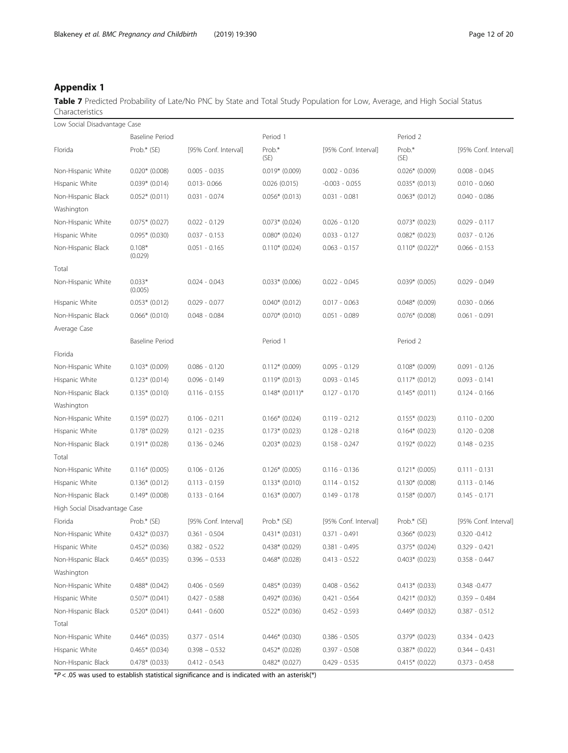### Appendix 1

Table 7 Predicted Probability of Late/No PNC by State and Total Study Population for Low, Average, and High Social Status Characteristics

| Low Social Disadvantage Case  |                     |                      |                   |                      |                   |                      |
|-------------------------------|---------------------|----------------------|-------------------|----------------------|-------------------|----------------------|
|                               | Baseline Period     |                      | Period 1          |                      | Period 2          |                      |
| Florida                       | Prob.* (SE)         | [95% Conf. Interval] | Prob.*<br>(SE)    | [95% Conf. Interval] | Prob.*<br>(SE)    | [95% Conf. Interval] |
| Non-Hispanic White            | $0.020*$ (0.008)    | $0.005 - 0.035$      | $0.019*$ (0.009)  | $0.002 - 0.036$      | $0.026*$ (0.009)  | $0.008 - 0.045$      |
| Hispanic White                | $0.039*$ (0.014)    | $0.013 - 0.066$      | 0.026(0.015)      | $-0.003 - 0.055$     | $0.035*$ (0.013)  | $0.010 - 0.060$      |
| Non-Hispanic Black            | $0.052*$ (0.011)    | $0.031 - 0.074$      | $0.056*$ (0.013)  | $0.031 - 0.081$      | $0.063*$ (0.012)  | $0.040 - 0.086$      |
| Washington                    |                     |                      |                   |                      |                   |                      |
| Non-Hispanic White            | $0.075*$ (0.027)    | $0.022 - 0.129$      | $0.073*$ (0.024)  | $0.026 - 0.120$      | $0.073*$ (0.023)  | $0.029 - 0.117$      |
| Hispanic White                | $0.095*$ (0.030)    | $0.037 - 0.153$      | $0.080*$ (0.024)  | $0.033 - 0.127$      | $0.082*$ (0.023)  | $0.037 - 0.126$      |
| Non-Hispanic Black            | $0.108*$<br>(0.029) | $0.051 - 0.165$      | $0.110*$ (0.024)  | $0.063 - 0.157$      | $0.110* (0.022)*$ | $0.066 - 0.153$      |
| Total                         |                     |                      |                   |                      |                   |                      |
| Non-Hispanic White            | $0.033*$<br>(0.005) | $0.024 - 0.043$      | $0.033*$ (0.006)  | $0.022 - 0.045$      | $0.039*$ (0.005)  | $0.029 - 0.049$      |
| Hispanic White                | $0.053*$ (0.012)    | $0.029 - 0.077$      | $0.040*$ (0.012)  | $0.017 - 0.063$      | $0.048*$ (0.009)  | $0.030 - 0.066$      |
| Non-Hispanic Black            | $0.066*$ (0.010)    | $0.048 - 0.084$      | $0.070*$ (0.010)  | $0.051 - 0.089$      | $0.076*$ (0.008)  | $0.061 - 0.091$      |
| Average Case                  |                     |                      |                   |                      |                   |                      |
|                               | Baseline Period     |                      | Period 1          |                      | Period 2          |                      |
| Florida                       |                     |                      |                   |                      |                   |                      |
| Non-Hispanic White            | $0.103*$ (0.009)    | $0.086 - 0.120$      | $0.112*$ (0.009)  | $0.095 - 0.129$      | $0.108*$ (0.009)  | $0.091 - 0.126$      |
| Hispanic White                | $0.123*$ (0.014)    | $0.096 - 0.149$      | $0.119*$ (0.013)  | $0.093 - 0.145$      | $0.117*$ (0.012)  | $0.093 - 0.141$      |
| Non-Hispanic Black            | $0.135*$ (0.010)    | $0.116 - 0.155$      | $0.148*$ (0.011)* | $0.127 - 0.170$      | $0.145*$ (0.011)  | $0.124 - 0.166$      |
| Washington                    |                     |                      |                   |                      |                   |                      |
| Non-Hispanic White            | $0.159*$ (0.027)    | $0.106 - 0.211$      | $0.166*$ (0.024)  | $0.119 - 0.212$      | $0.155*$ (0.023)  | $0.110 - 0.200$      |
| Hispanic White                | $0.178*$ (0.029)    | $0.121 - 0.235$      | $0.173*$ (0.023)  | $0.128 - 0.218$      | $0.164*$ (0.023)  | $0.120 - 0.208$      |
| Non-Hispanic Black            | $0.191*$ (0.028)    | $0.136 - 0.246$      | $0.203*$ (0.023)  | $0.158 - 0.247$      | $0.192*$ (0.022)  | $0.148 - 0.235$      |
| Total                         |                     |                      |                   |                      |                   |                      |
| Non-Hispanic White            | $0.116*(0.005)$     | $0.106 - 0.126$      | $0.126*$ (0.005)  | $0.116 - 0.136$      | $0.121*$ (0.005)  | $0.111 - 0.131$      |
| Hispanic White                | $0.136*$ (0.012)    | $0.113 - 0.159$      | $0.133*$ (0.010)  | $0.114 - 0.152$      | $0.130*$ (0.008)  | $0.113 - 0.146$      |
| Non-Hispanic Black            | $0.149*$ (0.008)    | $0.133 - 0.164$      | $0.163*$ (0.007)  | $0.149 - 0.178$      | $0.158*$ (0.007)  | $0.145 - 0.171$      |
| High Social Disadvantage Case |                     |                      |                   |                      |                   |                      |
| Florida                       | Prob.* (SE)         | [95% Conf. Interval] | Prob.* (SE)       | [95% Conf. Interval] | Prob.* (SE)       | [95% Conf. Interval] |
| Non-Hispanic White            | $0.432*$ (0.037)    | $0.361 - 0.504$      | $0.431*$ (0.031)  | $0.371 - 0.491$      | $0.366*$ (0.023)  | $0.320 - 0.412$      |
| Hispanic White                | $0.452*$ (0.036)    | $0.382 - 0.522$      | $0.438*$ (0.029)  | $0.381 - 0.495$      | $0.375*$ (0.024)  | $0.329 - 0.421$      |
| Non-Hispanic Black            | $0.465*$ (0.035)    | $0.396 - 0.533$      | $0.468*$ (0.028)  | $0.413 - 0.522$      | $0.403*$ (0.023)  | $0.358 - 0.447$      |
| Washington                    |                     |                      |                   |                      |                   |                      |
| Non-Hispanic White            | $0.488*$ (0.042)    | $0.406 - 0.569$      | $0.485*$ (0.039)  | $0.408 - 0.562$      | $0.413*$ (0.033)  | 0.348 - 0.477        |
| Hispanic White                | $0.507*$ (0.041)    | $0.427 - 0.588$      | $0.492*$ (0.036)  | $0.421 - 0.564$      | $0.421*$ (0.032)  | $0.359 - 0.484$      |
| Non-Hispanic Black            | $0.520*(0.041)$     | $0.441 - 0.600$      | $0.522*$ (0.036)  | $0.452 - 0.593$      | $0.449*$ (0.032)  | $0.387 - 0.512$      |
| Total                         |                     |                      |                   |                      |                   |                      |
| Non-Hispanic White            | $0.446*$ (0.035)    | $0.377 - 0.514$      | $0.446*$ (0.030)  | $0.386 - 0.505$      | $0.379*$ (0.023)  | $0.334 - 0.423$      |
| Hispanic White                | $0.465*$ (0.034)    | $0.398 - 0.532$      | $0.452*$ (0.028)  | $0.397 - 0.508$      | $0.387*$ (0.022)  | $0.344 - 0.431$      |
| Non-Hispanic Black            | $0.478*$ (0.033)    | $0.412 - 0.543$      | $0.482*$ (0.027)  | $0.429 - 0.535$      | $0.415*$ (0.022)  | $0.373 - 0.458$      |

 $*P$  < .05 was used to establish statistical significance and is indicated with an asterisk(\*)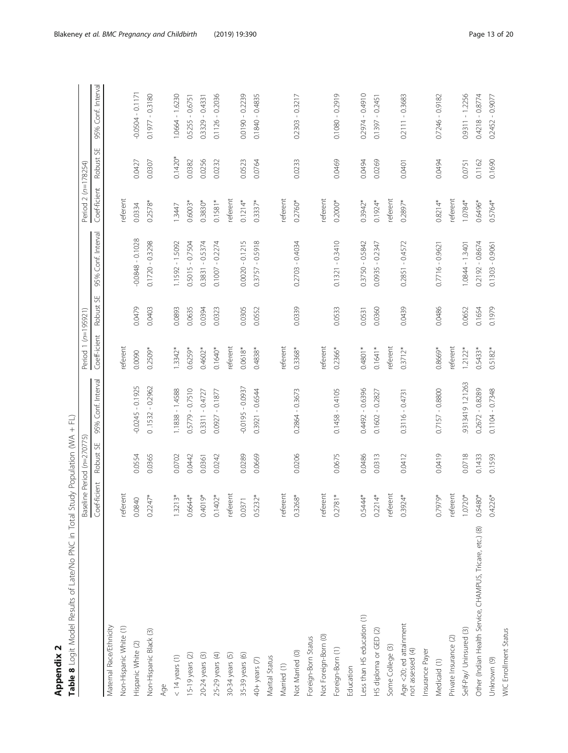| ٦ |
|---|
|   |
|   |
|   |
|   |
|   |
|   |

| ī<br>ī                               |
|--------------------------------------|
|                                      |
|                                      |
|                                      |
|                                      |
| ļ                                    |
| ¢                                    |
|                                      |
|                                      |
|                                      |
|                                      |
|                                      |
| )<br>)<br>)<br>)                     |
|                                      |
| ī                                    |
| 5                                    |
| l                                    |
| $\vdots$<br>$\overline{\phantom{a}}$ |
| j                                    |
|                                      |
|                                      |
| $\frac{1}{2}$                        |
|                                      |
| j                                    |
|                                      |
| j                                    |
|                                      |
|                                      |
| 5                                    |
|                                      |
| Ï                                    |
|                                      |
| I                                    |
|                                      |
|                                      |
| j<br>١                               |
|                                      |
|                                      |
|                                      |
|                                      |
|                                      |
| ŀ                                    |

 $\widehat{\mathbb{L}}$ 

|                                                           |                                            | Baseline Period (n=270775) |                     | Period 1 (n=195921) |           |                    | Period 2 (n=178254) |           |                    |
|-----------------------------------------------------------|--------------------------------------------|----------------------------|---------------------|---------------------|-----------|--------------------|---------------------|-----------|--------------------|
|                                                           | Coef-ficient                               | Robust SE                  | 95% Conf. Interval  | Coeff-icient        | Robust SE | 95% Conf. Interval | Coef-ficient        | Robust SE | 95% Conf. Interval |
| Maternal Race/Ethnicity                                   |                                            |                            |                     |                     |           |                    |                     |           |                    |
| Non-Hispanic White (1)                                    | referent                                   |                            |                     | referent            |           |                    | eferent             |           |                    |
| Hispanic White (2)                                        | 0.0840                                     | 0.0554                     | $-0.0245 - 0.1925$  | 0.0090              | 0.0479    | $-0.0848 - 0.1028$ | 0.0334              | 0.0427    | $-0.0504 - 0.1171$ |
| Non-Hispanic Black (3)                                    | $0.2247*$                                  | 0.0365                     | $0.1532 - 0.2962$   | $0.2509*$           | 0.0403    | $0.1720 - 0.3298$  | $0.2578*$           | 0.0307    | $0.1977 - 0.3180$  |
| Age                                                       |                                            |                            |                     |                     |           |                    |                     |           |                    |
| $<$ 14 years (1)                                          | $\stackrel{*}{\scriptstyle \sim}$<br>1.321 | 0.0702                     | 1.1838 - 1.4588     | $1.3342*$           | 0.0893    | 1.1592 - 1.5092    | 1.3447              | $0.1420*$ | 1.0664 - 1.6230    |
| 15-19 years (2)                                           | 0.6644*                                    | 0.0442                     | 0.5779 - 0.7510     | $0.6259*$           | 0.0635    | 0.5015 - 0.7504    | $0.6003*$           | 0.0382    | 0.5255 - 0.6751    |
| $20-24$ years $(3)$                                       | 0.4019*                                    | 0.0361                     | 0.3311 - 0.4727     | $0.4602*$           | 0.0394    | $0.3831 - 0.5374$  | $0.3830*$           | 0.0256    | 0.3329 - 0.4331    |
| 25-29 years (4)                                           | $0.1402*$                                  | 0.0242                     | $-0.1877$<br>0.0927 | $0.1640*$           | 0.0323    | $0.1007 - 0.2274$  | $0.1581*$           | 0.0232    | $0.1126 - 0.2036$  |
| 30-34 years (5)                                           | referent                                   |                            |                     | referent            |           |                    | referent            |           |                    |
| 35-39 years (6)                                           | 0.0371                                     | 0.0289                     | $-0.0195 - 0.0937$  | $0.0618*$           | 0.0305    | $0.0020 - 0.1215$  | $0.1214*$           | 0.0523    | 0.0190 - 0.2239    |
| 40+ years (7)                                             | $0.5232*$                                  | 0.0669                     | $0.3921 - 0.6544$   | $0.4838*$           | 0.0552    | $0.3757 - 0.5918$  | $0.3337*$           | 0.0764    | 0.1840 - 0.4835    |
| Marital Status                                            |                                            |                            |                     |                     |           |                    |                     |           |                    |
| Married (1)                                               | referent                                   |                            |                     | referent            |           |                    | eferent             |           |                    |
| Not Married (0)                                           | $0.3268*$                                  | 0.0206                     | $0.2864 - 0.3673$   | $0.3368*$           | 0.0339    | $0.2703 - 0.4034$  | 0.2760*             | 0.0233    | $0.2303 - 0.3217$  |
| Foreign-Born Status                                       |                                            |                            |                     |                     |           |                    |                     |           |                    |
| Not Foreign-Born (0)                                      | referent                                   |                            |                     | referent            |           |                    | referent            |           |                    |
| Foreign-Born (1)                                          | $0.2781*$                                  | 0.0675                     | $0.1458 - 0.4105$   | $0.2366*$           | 0.0533    | $0.1321 - 0.3410$  | $0.2000*$           | 0.0469    | $0.1080 - 0.2919$  |
| Education                                                 |                                            |                            |                     |                     |           |                    |                     |           |                    |
| Less than HS education (1)                                | 0.5444*                                    | 0.0486                     | 0.4492 - 0.6396     | $0.4801*$           | 0.0531    | 0.3750 - 0.5842    | $0.3942*$           | 0.0494    | 0.2974 - 0.4910    |
| HS diploma or GED (2)                                     | $0.2214*$                                  | 0.0313                     | $0.1602 - 0.2827$   | $0.1641*$           | 0.0360    | $0.0935 - 0.2347$  | $0.1924*$           | 0.0269    | $0.1397 - 0.2451$  |
| Some College (3)                                          | referent                                   |                            |                     | referent            |           |                    | referent            |           |                    |
| Age <20; ed attainment<br>not assessed (4)                | 0.3924*                                    | 0.0412                     | $0.3116 - 0.4731$   | $0.3712*$           | 0.0439    | $0.2851 - 0.4572$  | $0.2897*$           | 0.0401    | 0.2111 - 0.3683    |
| Insurance Payer                                           |                                            |                            |                     |                     |           |                    |                     |           |                    |
| Medicaid (1)                                              | $\check{q}$<br>0.797                       | 0.0419                     | $0.7157 - 0.8800$   | $0.8669*$           | 0.0486    | 0.7716 - 0.9621    | 0.8214*             | 0.0494    | $0.7246 - 0.9182$  |
| Private Insurance (2)                                     | referent                                   |                            |                     | referent            |           |                    | referent            |           |                    |
| Self-Pay/ Uninsured (3)                                   | $1.0720*$                                  | 0.0718                     | 9313419 1.21263     | $1.2122*$           | 0.0652    | 1.0844 - 1.3401    | 1.0784*             | 0.0751    | 0.9311 - 1.2256    |
| Other (Indian Health Service, CHAMPUS, Tricare, etc.) (8) | 0.5480*                                    | 0.1433                     | 0.2672 - 0.8289     | $0.5433*$           | 0.1654    | 0.2192 - 0.8674    | 0.6496*             | 0.1162    | 0.4218 - 0.8774    |
| Unknown (9)                                               | 0.4226*                                    | 0.1593                     | $0.1104 - 0.7348$   | $0.5182*$           | 0.1979    | $0.1303 - 0.9061$  | 0.5764*             | 0.1690    | 0.2452 - 0.9077    |
| WIC Enrollment Status                                     |                                            |                            |                     |                     |           |                    |                     |           |                    |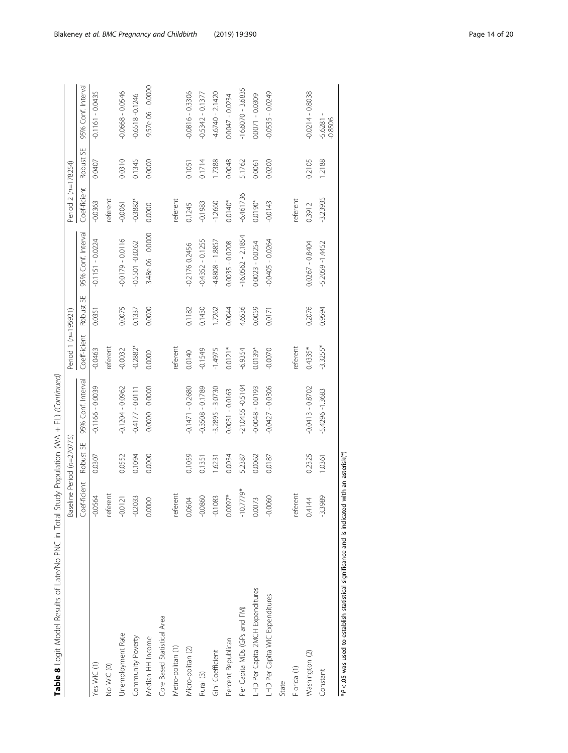| Table 8 Logit Model Results of Late/No PNC in Total Study Population (WA + FL) (Continued) |                            |           |                     |                     |           |                      |                     |           |                          |
|--------------------------------------------------------------------------------------------|----------------------------|-----------|---------------------|---------------------|-----------|----------------------|---------------------|-----------|--------------------------|
|                                                                                            | Baseline Period (n=270775) |           |                     | Period 1 (n=195921) |           |                      | Period 2 (n=178254) |           |                          |
|                                                                                            | Coef-ficient               | Robust SE | 95% Conf. Interval  | Coeff-icient        | Robust SE | 95% Conf. Interval   | Coef-ficient        | Robust SE | 95% Conf. Interval       |
| Yes WIC (1)                                                                                | $-0.0564$                  | 0.0307    | $-0.1166 - 0.0039$  | $-0.0463$           | 0.0351    | $-0.1151 - 0.0224$   | $-0.0363$           | 0.0407    | $-0.1161 - 0.0435$       |
| No WIC (0)                                                                                 | referent                   |           |                     | referent            |           |                      | referent            |           |                          |
| Unemployment Rate                                                                          | $-0.0121$                  | 0.0552    | $-0.1204 - 0.0962$  | $-0.0032$           | 0.0075    | $-0.0179 - 0.0116$   | $-0.0061$           | 0.0310    | $-0.0668 - 0.0546$       |
| Community Poverty                                                                          | $-0.2033$                  | 0.1094    | $-0.4177 - 0.0111$  | $-0.2882*$          | 0.1337    | $-0.5501 - 0.0262$   | $-0.3882*$          | 0.1345    | $-0.6518 - 0.1246$       |
| Median HH Income                                                                           | 0.0000                     | 0.0000    | $-0.0000 - 0.0000$  | 0.0000              | 0.0000    | $-3.48e-06 - 0.0000$ | 0.0000              | 0.0000    | $-9.57e-06 - 0.0000$     |
| Core Based Statistical Area                                                                |                            |           |                     |                     |           |                      |                     |           |                          |
| Metro-politan (1)                                                                          | referent                   |           |                     | referent            |           |                      | referent            |           |                          |
| Micro-politan (2)                                                                          | 0.0604                     | 0.1059    | $-0.1471 - 0.2680$  | 0.0140              | 0.1182    | $-0.217602456$       | 0.1245              | 0.1051    | $-0.0816 - 0.3306$       |
| Rural (3)                                                                                  | $-0.0860$                  | 0.1351    | $-0.3508 - 0.1789$  | $-0.1549$           | 0.1430    | $-0.4352 - 0.1255$   | $-0.1983$           | 0.1714    | $-0.5342 - 0.1377$       |
| Gini Coefficient                                                                           | $-0.1083$                  | 1.6231    | $-3.2895 - 3.0730$  | $-1.4975$           | 1.7262    | 4.8808 - 1.8857      | $-1.2660$           | 1.7388    | $-46740 - 2.1420$        |
| Percent Republican                                                                         | 0.0097*                    | 0.0034    | $0.0031 - 0.0163$   | $0.0121*$           | 0.0044    | $0.0035 - 0.0208$    | $0.0140*$           | 0.0048    | $0.0047 - 0.0234$        |
| Per Capita MDs (GPs and FM)                                                                | $-10.7779*$                | 5.2387    | $-21.0455 - 0.5104$ | $-6.9354$           | 4,6536    | $-16.0562 - 2.1854$  | $-6.461736$         | 5.1762    | $-16.6070 - 3.6835$      |
| LHD Per Capita 2MCH Expenditures                                                           | 0.0073                     | 0.0062    | $-0.0048 - 0.0193$  | $0.0139*$           | 0.0059    | $0.0023 - 0.0254$    | *0010.0             | 0.0061    | 0.0071 - 0.0309          |
| LHD Per Capita WIC Expenditures                                                            | $-0.0060$                  | 0.0187    | $-0.0427 - 0.0306$  | $-0.0070$           | 0.0171    | $-0.0405 - 0.0264$   | $-0.0143$           | 0.0200    | $-0.0535 - 0.0249$       |
| State                                                                                      |                            |           |                     |                     |           |                      |                     |           |                          |
| Florida (1)                                                                                | referent                   |           |                     | referent            |           |                      | referent            |           |                          |
| Washington (2)                                                                             | 0.4144                     | 0.2325    | $-0.0413 - 0.8702$  | $0.4335*$           | 0.2076    | $0.0267 - 0.8404$    | 0.3912              | 0.2105    | $-0.0214 - 0.8038$       |
| Constant                                                                                   | 8989<br>ကို                | 1.0361    | $-5.4296 - 1.3683$  | $-3.3255*$          | 0.9594    | $-5.2059 - 1.4452$   | $-3.23935$          | 1.2188    | $-5.6281 -$<br>$-0.8506$ |
|                                                                                            |                            |           |                     |                     |           |                      |                     |           |                          |

\*P < .05 was used to establish statistical significance and is indicated with an asterisk(\*) \*P < .05 was used to establish statistical significance and is indicated with an asterisk(\*)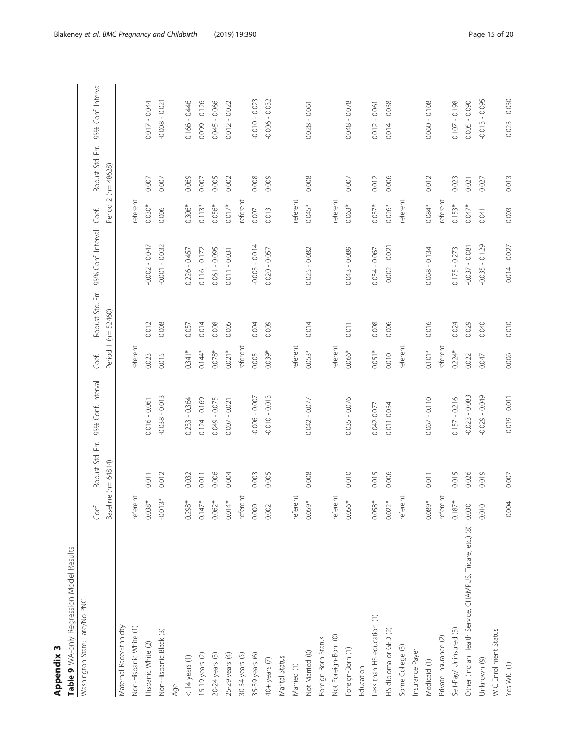Table 9 WA-only Regression Model Results<br>Washington State: Late/No PNC Table 9 WA-only Regression Model Results

Washington State: Late/No PNC

|                                                           | Coef.                                    |                     | Robust Std. Err. 95% Conf. Interval | Coef.    |                     | Robust Std. Err. 95% Conf. Interval Coef. |          |                     | Robust Std. Err. 95% Conf. Interval |
|-----------------------------------------------------------|------------------------------------------|---------------------|-------------------------------------|----------|---------------------|-------------------------------------------|----------|---------------------|-------------------------------------|
|                                                           |                                          | Baseline (n= 64814) |                                     |          | Period 1 (n= 52460) |                                           |          | Period 2 (n= 48628) |                                     |
| Maternal Race/Ethnicity                                   |                                          |                     |                                     |          |                     |                                           |          |                     |                                     |
| Non-Hispanic White (1)                                    | referent                                 |                     |                                     | eferent  |                     |                                           | referent |                     |                                     |
| Hispanic White (2)                                        | $0.038*$                                 | 0.011               | $0.016 - 0.061$                     | 0.023    | 0.012               | $-0.002 - 0.047$                          | $0.030*$ | 0.007               | $0.017 - 0.044$                     |
| Non-Hispanic Black (3)                                    | $-0.013*$                                | 0.012               | $-0.038 - 0.013$                    | 0.015    | 0.008               | $-0.001 - 0.032$                          | 0.006    | 0.007               | $-0.008 - 0.021$                    |
| Age                                                       |                                          |                     |                                     |          |                     |                                           |          |                     |                                     |
| $<$ 14 years (1)                                          | $0.298*$                                 | 0.032               | $0.233 - 0.364$                     | $0.341*$ | 0.057               | $0.226 - 0.457$                           | $0.306*$ | 0.069               | $0.166 - 0.446$                     |
| 15-19 years (2)                                           | $0.147*$                                 | 0.011               | $0.124 - 0.169$                     | $0.144*$ | 0.014               | $0.116 - 0.172$                           | $0.113*$ | 0.007               | $0.099 - 0.126$                     |
| $20-24$ years $(3)$                                       | $0.062*$                                 | 0.006               | $0.049 - 0.075$                     | $0.078*$ | 0.008               | $0.061 - 0.095$                           | 0.056*   | 0.005               | $0.045 - 0.066$                     |
| 25-29 years (4)                                           | $0.014*$                                 | 0.004               | $0.007 - 0.021$                     | $0.021*$ | 0.005               | $0.011 - 0.031$                           | $0.017*$ | 0.002               | 0.012 - 0.022                       |
| 30-34 years (5)                                           | referent                                 |                     |                                     | referent |                     |                                           | referent |                     |                                     |
| 35-39 years (6)                                           | 0.000                                    | 0.003               | $-0.006 - 0.007$                    | 0.005    | 0.004               | $-0.003 - 0.014$                          | 0.007    | 0.008               | $-0.010 - 0.023$                    |
| 40+ years (7)                                             | 0.002                                    | 0.005               | $-0.010 - 0.013$                    | $0.039*$ | 0.009               | $0.020 - 0.057$                           | 0.013    | 0.009               | $-0.006 - 0.032$                    |
| Marital Status                                            |                                          |                     |                                     |          |                     |                                           |          |                     |                                     |
| Vlarried (1)                                              | referent                                 |                     |                                     | referent |                     |                                           | referent |                     |                                     |
| <b>Not Married (0)</b>                                    | $0.059*$                                 | 0.008               | $0.042 - 0.077$                     | $0.053*$ | 0.014               | $0.025 - 0.082$                           | 0.045*   | 0.008               | $0.028 - 0.061$                     |
| Foreign-Born Status                                       |                                          |                     |                                     |          |                     |                                           |          |                     |                                     |
| Not Foreign-Born (0)                                      | referent                                 |                     |                                     | referent |                     |                                           | referent |                     |                                     |
| Foreign-Born (1)                                          | $0.056*$                                 | 0.010               | $0.035 - 0.076$                     | $0.066*$ | 0.011               | $0.043 - 0.089$                           | $0.063*$ | 0.007               | $0.048 - 0.078$                     |
| Education                                                 |                                          |                     |                                     |          |                     |                                           |          |                     |                                     |
| ess than HS education (1)                                 | $0.058*$                                 | 0.015               | 0.042-0.077                         | $0.051*$ | 0.008               | $0.034 - 0.067$                           | $0.037*$ | 0.012               | $0.012 - 0.061$                     |
| 15 diploma or GED                                         | $0.022*$                                 | 0.006               | 0.011-0.034                         | 0.010    | 0.006               | $-0.002 - 0.021$                          | $0.026*$ | 0.006               | $0.014 - 0.038$                     |
| Some College (3)                                          | referent                                 |                     |                                     | referent |                     |                                           | referent |                     |                                     |
| nsurance Payer                                            |                                          |                     |                                     |          |                     |                                           |          |                     |                                     |
| Medicaid (1)                                              | $0.089*$                                 | 0.011               | $0.067 - 0.110$                     | $0.101*$ | 0.016               | $0.068 - 0.134$                           | $0.084*$ | 0.012               | $0.060 - 0.108$                     |
| Private Insurance (2)                                     | referent                                 |                     |                                     | referent |                     |                                           | referent |                     |                                     |
| Self-Pay/ Uninsured (3)                                   | $87\text{\textdegree}$<br>$\overline{c}$ | 0.015               | $0.157 - 0.216$                     | $0.224*$ | 0.024               | $0.175 - 0.273$                           | $0.153*$ | 0.023               | $0.107 - 0.198$                     |
| Other (Indian Health Service, CHAMPUS, Tricare, etc.) (8) | 0.030                                    | 0.026               | $-0.023 - 0.083$                    | 0.022    | 0.029               | $-0.037 - 0.081$                          | $0.047*$ | 0.021               | $0.005 - 0.090$                     |
| Jnknown (9)                                               | 0.010                                    | 0.019               | $-0.029 - 0.049$                    | 0.047    | 0.040               | $-0.035 - 0.129$                          | 0.041    | 0.027               | $-0.013 - 0.095$                    |
| WIC Enrollment Status                                     |                                          |                     |                                     |          |                     |                                           |          |                     |                                     |
| Yes WIC (1)                                               | $-0.004$                                 | 0.007               | $-0.019 - 0.011$                    | 0.006    | 0.010               | $-0.014 - 0.027$                          | 0.003    | 0.013               | $-0.023 - 0.030$                    |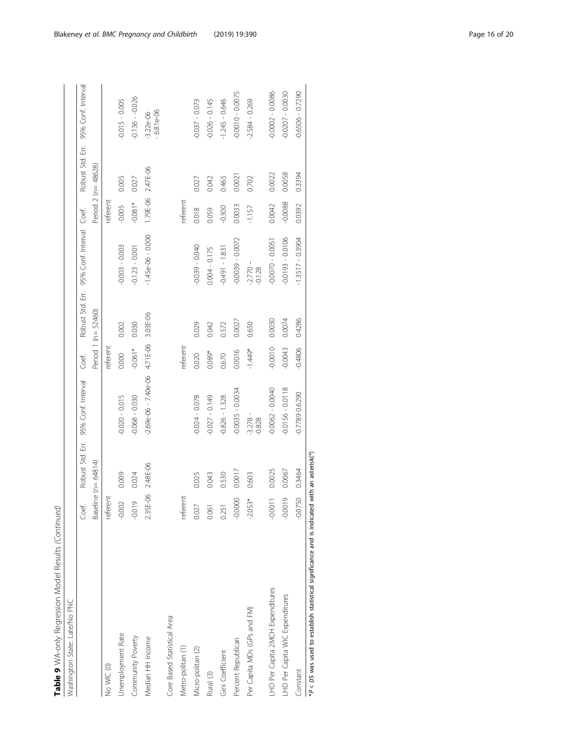| Table 9 WA-only Regression Model Results (Continued)                                         |                     |          |                                     |           |                     |                                           |           |                     |                                     |
|----------------------------------------------------------------------------------------------|---------------------|----------|-------------------------------------|-----------|---------------------|-------------------------------------------|-----------|---------------------|-------------------------------------|
| Washington State: Late/No PNC                                                                |                     |          |                                     |           |                     |                                           |           |                     |                                     |
|                                                                                              | Coef.               |          | Robust Std. Err. 95% Conf. Interval | Coef.     |                     | Robust Std. Err. 95% Conf. Interval Coef. |           |                     | Robust Std. Err. 95% Conf. Interval |
|                                                                                              | Baseline (n= 64814) |          |                                     |           | Period 1 (n= 52460) |                                           |           | Period 2 (n= 48628) |                                     |
| No WIC (0)                                                                                   | referent            |          |                                     | referent  |                     |                                           | referent  |                     |                                     |
| Unemployment Rate                                                                            | $-0.002$            | 0.009    | $-0.020 - 0.015$                    | 0.000     | 0.002               | $-0.003 - 0.003$                          | $-0.005$  | 0.005               | $-0.015 - 0.005$                    |
| Community Poverty                                                                            | $-0.019$            | 0.024    | $-0.068 - 0.030$                    | $-0.061*$ | 0.030               | $-0.123 - 0.001$                          | $-0.081*$ | 0.027               | $-0.136 - 0.026$                    |
| Median HH Income                                                                             | 2.35E-06            | 2.48E-06 | $-2.69e-06 - 7.40e-06$ 4.71 E-06    |           | 3.03E-06            | $-1.45e-06 - 0.000$                       |           | 1.79E-06 2.47E-06   | $-6.81e-06$<br>$-3.22 - 06$         |
| Core Based Statistical Area                                                                  |                     |          |                                     |           |                     |                                           |           |                     |                                     |
| Metro-politan (1)                                                                            | referent            |          |                                     | referent  |                     |                                           | referent  |                     |                                     |
| Micro-politan (2)                                                                            | 0.027               | 0.025    | $-0.024 - 0.078$                    | 0.020     | 0.029               | $-0.039 - 0.040$                          | 0.018     | 0.027               | $-0.037 - 0.073$                    |
| Rural (3)                                                                                    | 0.061               | 0.043    | $-0.027 - 0.149$                    | 0.089*    | 0.042               | $0.004 - 0.175$                           | 0.059     | 0.042               | $-0.026 - 0.145$                    |
| Gini Coefficient                                                                             | 0.251               | 0.530    | $-0.826 - 1.328$                    | 0.670     | 0.572               | $-0.491 - 1.831$                          | $-0.300$  | 0.465               | $-1.245 - 0.646$                    |
| Percent Republican                                                                           | $-0.0000$           | 0.0017   | $-0.0035 - 0.0034$                  | 0.0016    | 0.0027              | $-0.0039 - 0.0072$                        | 0.0033    | 0.0021              | $-0.0010 - 0.0075$                  |
| Per Capita MDs (GPs and FM)                                                                  | $-2.053*$           | 0.603    | $-3.278 -$<br>$-0.828$              | $-1.449*$ | 0.650               | $-2.770 -$<br>$-0.128$                    | $-1.157$  | 0.702               | $-2.584 - 0.269$                    |
| LHD Per Capita 2MCH Expenditures                                                             | $-0.0011$           | 0.0025   | $-0.0062 - 0.0040$                  | $-0.0010$ | 0.0030              | $-0.0070 - 0.0051$                        | 0.0042    | 0.0022              | $-0.0002 - 0.0086$                  |
| LHD Per Capita WIC Expenditures                                                              | $-0.0019$           | 0.0067   | $-0.0156 - 0.0118$                  | $-0.0043$ | 0.0074              | $-0.0193 - 0.0106$                        | $-0.0088$ | 0.0058              | $-0.0207 - 0.0030$                  |
| Constant                                                                                     | $-0.0750$           | 0.3464   | -0.7789 0.6290                      | $-0.4806$ | 0.4286              | $-1.3517 - 0.3904$                        | 0.0392    | 0.3394              | $-0.6506 - 0.7290$                  |
| *P < .05 was used to establish statistical significance and is indicated with an asterisk(*) |                     |          |                                     |           |                     |                                           |           |                     |                                     |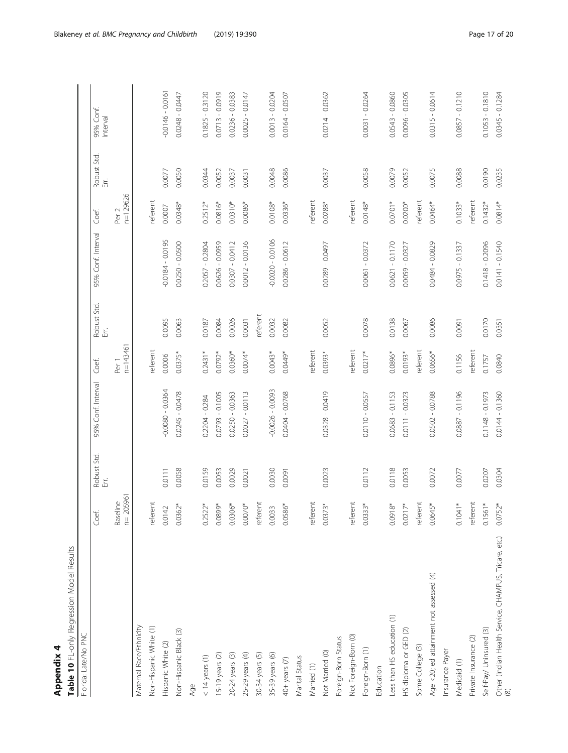| E<br>ī |  |
|--------|--|
|        |  |
|        |  |
|        |  |
|        |  |
| Ξ      |  |

| I               |
|-----------------|
| s<br>c          |
| いいっこう<br>١<br>j |
| i<br>ī<br>İ     |
|                 |
|                 |

| Florida: Late/No PNC |
|----------------------|

| Florida: Late/No PNC                                                    |                             |                   |                    |                                  |                     |                    |                              |                     |                       |
|-------------------------------------------------------------------------|-----------------------------|-------------------|--------------------|----------------------------------|---------------------|--------------------|------------------------------|---------------------|-----------------------|
|                                                                         | Coef.                       | Robust Std.<br>丘. | 95% Conf. Interval | Coef.                            | Robust Std.<br>Err. | 95% Conf. Interval | Coef.                        | Robust Std.<br>Err. | 95% Conf.<br>Interval |
|                                                                         | $n = 205961$<br>Baseline    |                   |                    | $n = 143461$<br>Per <sub>1</sub> |                     |                    | n=129626<br>Per <sub>2</sub> |                     |                       |
| Maternal Race/Ethnicity                                                 |                             |                   |                    |                                  |                     |                    |                              |                     |                       |
| Non-Hispanic White (1)                                                  | referent                    |                   |                    | referent                         |                     |                    | referent                     |                     |                       |
| Hispanic White (2)                                                      | 0.0142                      | 0.0111            | $-0.0080 - 0.0364$ | 0.0006                           | 0.0095              | $-0.0184 - 0.0195$ | 0.0007                       | 0.0077              | $-0.0146 - 0.0161$    |
| Non-Hispanic Black (3)                                                  | $0.0362*$                   | 0.0058            | $0.0245 - 0.0478$  | $0.0375*$                        | 0.0063              | 0.0250 - 0.0500    | 0.0348*                      | 0.0050              | $0.0248 - 0.0447$     |
| Age                                                                     |                             |                   |                    |                                  |                     |                    |                              |                     |                       |
| $<$ 14 years (1)                                                        | $0.2522*$                   | 0.0159            | $0.2204 - 0.284$   | $0.2431*$                        | 0.0187              | 0.2057 - 0.2804    | $0.2512*$                    | 0.0344              | $0.1825 - 0.3120$     |
| 15-19 years (2)                                                         | 0.0899*                     | 0.0053            | $0.0793 - 0.1005$  | $0.0792*$                        | 0.0084              | 0.0626 - 0.0959    | 0.0816*                      | 0.0052              | $0.0713 - 0.0919$     |
| $20-24$ years $(3)$                                                     | $0.0306*$                   | 0.0029            | 0.0250 - 0.0363    | $0.0360*$                        | 0.0026              | $0.0307 - 0.0412$  | 0.0310*                      | 0.0037              | 0.0236 - 0.0383       |
| 25-29 years (4)                                                         | $\zeta^*$<br>0.007          | 0.0021            | $0.0027 - 0.0113$  | $0.0074*$                        | 0.0031              | $0.0012 - 0.0136$  | $0.0086*$                    | 0.0031              | $0.0025 - 0.0147$     |
| 30-34 years (5)                                                         | referent                    |                   |                    |                                  | referent            |                    |                              |                     |                       |
| 35-39 years (6)                                                         | Ü,<br>0.003                 | 0.0030            | $-0.0026 - 0.0093$ | $0.0043*$                        | 0.0032              | $-0.0020 - 0.0106$ | $0.0108*$                    | 0.0048              | 0.0013 - 0.0204       |
| 40+ years (7)                                                           | $86*$<br>0.058              | 0.0091            | 0.0404 - 0.0768    | $0.0449*$                        | 0.0082              | $0.0286 - 0.0612$  | 0.0336*                      | 0.0086              | $0.0164 - 0.0507$     |
| Marital Status                                                          |                             |                   |                    |                                  |                     |                    |                              |                     |                       |
| Married (1)                                                             | referent                    |                   |                    | referent                         |                     |                    | referent                     |                     |                       |
| Not Married (0)                                                         | $\tilde{\gamma}^*$<br>0.037 | 0.0023            | $0.0328 - 0.0419$  | $0.0393*$                        | 0.0052              | 0.0289 - 0.0497    | 0.0288*                      | 0.0037              | 0.0214 - 0.0362       |
| Foreign-Born Status                                                     |                             |                   |                    |                                  |                     |                    |                              |                     |                       |
| Not Foreign-Born (0)                                                    | referent                    |                   |                    | referent                         |                     |                    | referent                     |                     |                       |
| Foreign-Born (1)                                                        | $\tilde{c}^*$<br>0.033      | 0.0112            | 0.0110 - 0.0557    | $0.0217*$                        | 0.0078              | 0.0061 - 0.0372    | 0.0148*                      | 0.0058              | $0.0031 - 0.0264$     |
| Education                                                               |                             |                   |                    |                                  |                     |                    |                              |                     |                       |
| Less than HS education (1)                                              | $^*_{\infty}$<br>0.091      | 0.0118            | $0.0683 - 0.1153$  | 0.0896*                          | 0.0138              | $0.0621 - 0.1170$  | $0.0701*$                    | 0.0079              | 0.0543 - 0.0860       |
| HS diploma or GED (2)                                                   | $\uparrow^*$<br>0.021       | 0.0053            | 0.0111 - 0.0323    | 0.0193*                          | 0.0067              | 0.0059 - 0.0327    | $0.0200*$                    | 0.0052              | 0.0096 - 0.0305       |
| Some College (3)                                                        | referent                    |                   |                    | referent                         |                     |                    | referent                     |                     |                       |
| Age <20; ed attainment not assessed (4)                                 | ξ,<br>0.064                 | 0.0072            | 0.0502 - 0.0788    | 0.0656*                          | 0.0086              | 0.0484 - 0.0829    | 0.0464*                      | 0.0075              | $0.0315 - 0.0614$     |
| Insurance Payer                                                         |                             |                   |                    |                                  |                     |                    |                              |                     |                       |
| Medicaid (1)                                                            | $0.1041*$                   | 0.0077            | $0.0887 - 0.1196$  | 0.1156                           | 0.0091              | $0.0975 - 0.1337$  | $0.1033*$                    | 0.0088              | $0.0857 - 0.1210$     |
| Private Insurance (2)                                                   | referent                    |                   |                    | referent                         |                     |                    | referent                     |                     |                       |
| Self-Pay/ Uninsured (3)                                                 | $0.1561*$                   | 0.0207            | $0.1148 - 0.1973$  | 0.1757                           | 0.0170              | $0.1418 - 0.2096$  | $0.1432*$                    | 0.0190              | $0.1053 - 0.1810$     |
| Other (Indian Health Service, CHAMPUS, Tricare, etc.)<br>$\circledcirc$ | $0.0752*$                   | 0.0304            | $0.0144 - 0.1360$  | 0.0840                           | 0.0351              | 0.0141 - 0.1540    | 0.0814*                      | 0.0235              | $0.0345 - 0.1284$     |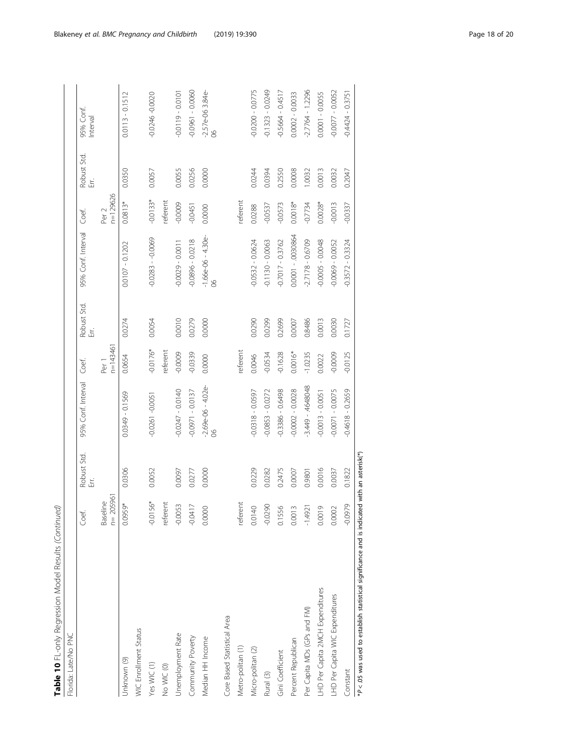| Florida: Late/No PNC                                                                         |                                        |                     |                           |                                  |                     |                                     |                   |                     |                                 |
|----------------------------------------------------------------------------------------------|----------------------------------------|---------------------|---------------------------|----------------------------------|---------------------|-------------------------------------|-------------------|---------------------|---------------------------------|
|                                                                                              | Coef.                                  | Robust Std.<br>Εrτ. | 95% Conf. Interval        | Coef.                            | Robust Std.<br>Err. | 95% Conf. Interval                  | Coef.             | Robust Std.<br>Err. | 95% Conf.<br>Interval           |
|                                                                                              | n= 205961<br>$\overline{0}$<br>Baselin |                     |                           | $n = 143461$<br>Per <sub>1</sub> |                     |                                     | n=129626<br>Per 2 |                     |                                 |
| Unknown (9)                                                                                  | 0.0959*                                | 0.0306              | $0.0349 - 0.1569$         | 0.0654                           | 0.0274              | $0.0107 - 0.1202$                   | 0.0813*           | 0.0350              | $0.0113 - 0.1512$               |
| WIC Enrollment Status                                                                        |                                        |                     |                           |                                  |                     |                                     |                   |                     |                                 |
| Yes WIC (1)                                                                                  | $-0.0156*$                             | 0.0052              | $-0.0261 - 0.0051$        | $-0.0176*$                       | 0.0054              | $-0.0283 - 0.0069$                  | $-0.0133*$        | 0.0057              | $-0.0246 - 0.0020$              |
| No WIC (0)                                                                                   | referent                               |                     |                           | referent                         |                     |                                     | referent          |                     |                                 |
| Unemployment Rate                                                                            | $-0.0053$                              | 0.0097              | $-0.0247 - 0.0140$        | -0.0009                          | 0.0010              | $-0.0029 - 0.0011$                  | $-0.0009$         | 0.0055              | $-0.0119 - 0.0101$              |
| Community Poverty                                                                            | $-0.0417$                              | 0.0277              | $-0.0971 - 0.0137$        | $-0.0339$                        | 0.0279              | $-0.0896 - 0.0218$                  | $-0.0451$         | 0.0256              | $-0.0961 - 0.0060$              |
| Median HH Income                                                                             | 0.0000                                 | 0.0000              | $-2.69e-06 - 4.02e-$<br>8 | 0.0000                           | 0.0000              | $-1.66e-06 - 4.30e-$<br>$8^{\circ}$ | 0.0000            | 0.0000              | $-2.57e-06384e-$<br>$8^{\circ}$ |
| Core Based Statistical Area                                                                  |                                        |                     |                           |                                  |                     |                                     |                   |                     |                                 |
| Metro-politan (1)                                                                            | referent                               |                     |                           | referent                         |                     |                                     | referent          |                     |                                 |
| Micro-politan (2)                                                                            | 0.0140                                 | 0.0229              | $-0.0318 - 0.0597$        | 0.0046                           | 0.0290              | $-0.0532 - 0.0624$                  | 0.0288            | 0.0244              | $-0.0200 - 0.0775$              |
| Rural (3)                                                                                    | $-0.0290$                              | 0.0282              | $-0.0853 - 0.0272$        | $-0.0534$                        | 0.0299              | $-0.1130 - 0.0063$                  | $-0.0537$         | 0.0394              | $-0.1323 - 0.0249$              |
| Gini Coefficient                                                                             | 0.1556                                 | 0.2475              | $-0.3386 - 0.6498$        | $-0.1628$                        | 0.2699              | $-0.7017 - 0.3762$                  | $-0.0573$         | 0.2550              | $-0.5664 - 0.4517$              |
| Percent Republican                                                                           | 0.0013                                 | 0.0007              | $-0.0002 - 0.0028$        | $0.0016*$                        | 0.0007              | 0.0001 - 0030864                    | $0.0018*$         | 0.0008              | 0.0002 - 0.0033                 |
| Per Capita MDs (GPs and FM)                                                                  | $-1.4921$                              | 0.9801              | $-3.449 - .4648048$       | $-1.0235$                        | 0.8486              | $-2.7178 - 0.6709$                  | $-0.7734$         | 1.0032              | $-2.7764 - 1.2296$              |
| LHD Per Capita 2MCH Expenditures                                                             | 0.0019                                 | 0.0016              | $-0.0013 - 0.0051$        | 0.0022                           | 0.0013              | $-0.0005 - 0.0048$                  | $0.0028*$         | 0.0013              | 0.0001 - 0.0055                 |
| LHD Per Capita WIC Expenditures                                                              | 0.0002                                 | 0.0037              | $-0.0071 - 0.0075$        | -0.0009                          | 0.0030              | $-0.0069 - 0.0052$                  | $-0.0013$         | 0.0032              | $-0.0077 - 0.0052$              |
| Constant                                                                                     | $-0.0979$                              | 0.1822              | $-0.4618 - 0.2659$        | $-0.0125$                        | 0.1727              | $-0.3572 - 0.3324$                  | $-0.0337$         | 0.2047              | $-0.4424 - 0.3751$              |
| *P < .05 was used to establish statistical significance and is indicated with an asterisk(*) |                                        |                     |                           |                                  |                     |                                     |                   |                     |                                 |

Table 10 FL-only Regression Model Results (Continued) Table 10 FL-only Regression Model Results (Continued)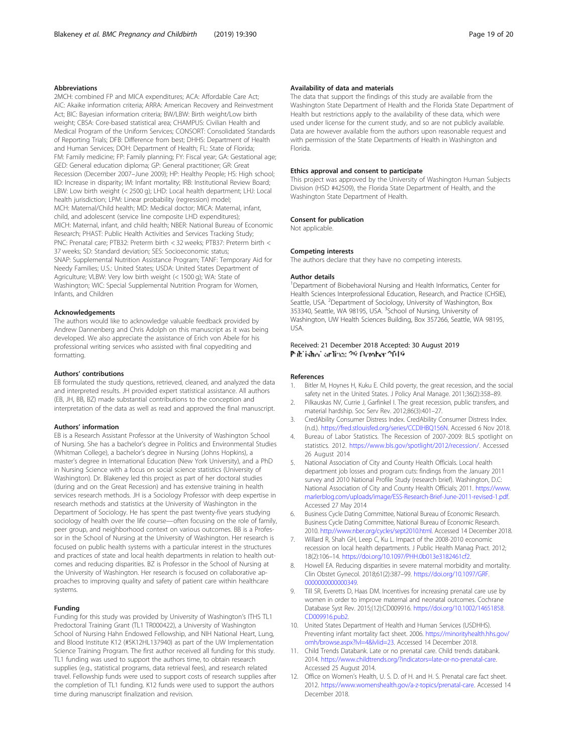### <span id="page-18-0"></span>Abbreviations

2MCH: combined FP and MICA expenditures; ACA: Affordable Care Act; AIC: Akaike information criteria; ARRA: American Recovery and Reinvestment Act; BIC: Bayesian information criteria; BW/LBW: Birth weight/Low birth weight; CBSA: Core-based statistical area; CHAMPUS: Civilian Health and Medical Program of the Uniform Services; CONSORT: Consolidated Standards of Reporting Trials; DFB: Difference from best; DHHS: Department of Health and Human Services; DOH: Department of Health; FL: State of Florida; FM: Family medicine; FP: Family planning; FY: Fiscal year; GA: Gestational age; GED: General education diploma; GP: General practitioner; GR: Great Recession (December 2007–June 2009); HP: Healthy People; HS: High school; IID: Increase in disparity; IM: Infant mortality; IRB: Institutional Review Board; LBW: Low birth weight (< 2500 g); LHD: Local health department; LHJ: Local health jurisdiction; LPM: Linear probability (regression) model; MCH: Maternal/Child health; MD: Medical doctor; MICA: Maternal, infant, child, and adolescent (service line composite LHD expenditures); MICH: Maternal, infant, and child health; NBER: National Bureau of Economic Research; PHAST: Public Health Activities and Services Tracking Study; PNC: Prenatal care; PTB32: Preterm birth < 32 weeks; PTB37: Preterm birth < 37 weeks; SD: Standard deviation; SES: Socioeconomic status; SNAP: Supplemental Nutrition Assistance Program; TANF: Temporary Aid for Needy Families; U.S.: United States; USDA: United States Department of Agriculture; VLBW: Very low birth weight (< 1500 g); WA: State of Washington; WIC: Special Supplemental Nutrition Program for Women, Infants, and Children

### Acknowledgements

The authors would like to acknowledge valuable feedback provided by Andrew Dannenberg and Chris Adolph on this manuscript as it was being developed. We also appreciate the assistance of Erich von Abele for his professional writing services who assisted with final copyediting and formatting.

### Authors' contributions

EB formulated the study questions, retrieved, cleaned, and analyzed the data and interpreted results. JH provided expert statistical assistance. All authors (EB, JH, BB, BZ) made substantial contributions to the conception and interpretation of the data as well as read and approved the final manuscript.

### Authors' information

EB is a Research Assistant Professor at the University of Washington School of Nursing. She has a bachelor's degree in Politics and Environmental Studies (Whitman College), a bachelor's degree in Nursing (Johns Hopkins), a master's degree in International Education (New York University), and a PhD in Nursing Science with a focus on social science statistics (University of Washington). Dr. Blakeney led this project as part of her doctoral studies (during and on the Great Recession) and has extensive training in health services research methods. JH is a Sociology Professor with deep expertise in research methods and statistics at the University of Washington in the Department of Sociology. He has spent the past twenty-five years studying sociology of health over the life course—often focusing on the role of family, peer group, and neighborhood context on various outcomes. BB is a Professor in the School of Nursing at the University of Washington. Her research is focused on public health systems with a particular interest in the structures and practices of state and local health departments in relation to health outcomes and reducing disparities. BZ is Professor in the School of Nursing at the University of Washington. Her research is focused on collaborative approaches to improving quality and safety of patient care within healthcare systems.

### Funding

Funding for this study was provided by University of Washington's ITHS TL1 Predoctoral Training Grant (TL1 TR000422), a University of Washington School of Nursing Hahn Endowed Fellowship, and NIH National Heart, Lung, and Blood Institute K12 (#5K12HL137940) as part of the UW Implementation Science Training Program. The first author received all funding for this study. TL1 funding was used to support the authors time, to obtain research supplies (e.g., statistical programs, data retrieval fees), and research related travel. Fellowship funds were used to support costs of research supplies after the completion of TL1 funding. K12 funds were used to support the authors time during manuscript finalization and revision.

### Availability of data and materials

The data that support the findings of this study are available from the Washington State Department of Health and the Florida State Department of Health but restrictions apply to the availability of these data, which were used under license for the current study, and so are not publicly available. Data are however available from the authors upon reasonable request and with permission of the State Departments of Health in Washington and Florida.

### Ethics approval and consent to participate

This project was approved by the University of Washington Human Subjects Division (HSD #42509), the Florida State Department of Health, and the Washington State Department of Health.

#### Consent for publication

Not applicable.

### Competing interests

The authors declare that they have no competing interests.

#### Author details

<sup>1</sup>Department of Biobehavioral Nursing and Health Informatics, Center for Health Sciences Interprofessional Education, Research, and Practice (CHSIE), Seattle, USA. <sup>2</sup>Department of Sociology, University of Washington, Box 353340, Seattle, WA 98195, USA. <sup>3</sup>School of Nursing, University of Washington, UW Health Sciences Building, Box 357266, Seattle, WA 98195, USA.

## Received: 21 December 2018 Accepted: 30 August 2019<br>Published an line: 26 Dember 2016

### References

- 1. Bitler M, Hoynes H, Kuku E. Child poverty, the great recession, and the social safety net in the United States. J Policy Anal Manage. 2011;36(2):358–89.
- 2. Pilkauskas NV, Currie J, Garfinkel I. The great recession, public transfers, and material hardship. Soc Serv Rev. 2012;86(3):401–27.
- 3. CredAbility Consumer Distress Index. CredAbility Consumer Distress Index. (n.d.). [https://fred.stlouisfed.org/series/CCDIHBQ156N.](https://www.google.com/url?q=https%3A%2F%2Ffred.stlouisfed.org%2Fseries%2FCCDIHBQ156N&sa=D&sntz=1&usg=AFQjCNH6Lvd6o6W6knEWkKR6xg2Z4SItyw) Accessed 6 Nov 2018.
- 4. Bureau of Labor Statistics. The Recession of 2007-2009: BLS spotlight on statistics. 2012. <https://www.bls.gov/spotlight/2012/recession/>. Accessed 26 August 2014
- 5. National Association of City and County Health Officials. Local health department job losses and program cuts: findings from the January 2011 survey and 2010 National Profile Study (research brief). Washington, D.C: National Association of City and County Health Officials; 2011. [https://www.](https://www.marlerblog.com/uploads/image/ESS-Research-Brief-June-2011-revised-1.pdf) [marlerblog.com/uploads/image/ESS-Research-Brief-June-2011-revised-1.pdf](https://www.marlerblog.com/uploads/image/ESS-Research-Brief-June-2011-revised-1.pdf). Accessed 27 May 2014
- 6. Business Cycle Dating Committee, National Bureau of Economic Research. Business Cycle Dating Committee, National Bureau of Economic Research. 2010. [http://www.nber.org/cycles/sept2010.html.](http://www.nber.org/cycles/sept2010.html) Accessed 14 December 2018.
- 7. Willard R, Shah GH, Leep C, Ku L. Impact of the 2008-2010 economic recession on local health departments. J Public Health Manag Pract. 2012; 18(2):106–14. [https://doi.org/10.1097/PHH.0b013e3182461cf2.](https://doi.org/10.1097/PHH.0b013e3182461cf2)
- 8. Howell EA. Reducing disparities in severe maternal morbidity and mortality. Clin Obstet Gynecol. 2018;61(2):387–99. [https://doi.org/10.1097/GRF.](https://doi.org/10.1097/GRF.0000000000000349) 000[0000000000000349](https://doi.org/10.1097/GRF.0000000000000349)
- Till SR, Everetts D, Haas DM. Incentives for increasing prenatal care use by women in order to improve maternal and neonatal outcomes. Cochrane Database Syst Rev. 2015;(12):CD009916. [https://doi.org/10.1002/14651858.](https://doi.org/10.1002/14651858.CD009916.pub2) [CD009916.pub2.](https://doi.org/10.1002/14651858.CD009916.pub2)
- 10. United States Department of Health and Human Services (USDHHS). Preventing infant mortality fact sheet. 2006. [https://minorityhealth.hhs.gov/](https://minorityhealth.hhs.gov/omh/browse.aspx?lvl=4&lvlid=23) [omh/browse.aspx?lvl=4&lvlid=23](https://minorityhealth.hhs.gov/omh/browse.aspx?lvl=4&lvlid=23). Accessed 14 December 2018.
- 11. Child Trends Databank. Late or no prenatal care. Child trends databank. 2014. <https://www.childtrends.org/?indicators=late-or-no-prenatal-care>. Accessed 25 August 2014.
- 12. Office on Women's Health, U. S. D. of H. and H. S. Prenatal care fact sheet. 2012. <https://www.womenshealth.gov/a-z-topics/prenatal-care>. Accessed 14 December 2018.